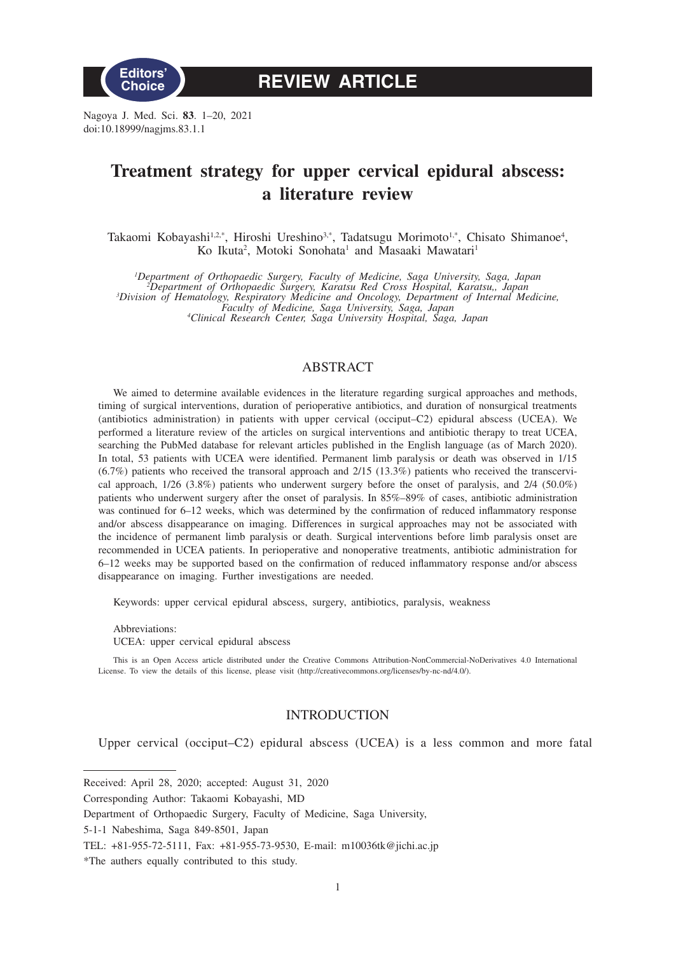

**REVIEW ARTICLE**

Nagoya J. Med. Sci. **83**. 1–20, 2021 doi:10.18999/nagjms.83.1.1

# **Treatment strategy for upper cervical epidural abscess: a literature review**

Takaomi Kobayashi<sup>1,2,\*</sup>, Hiroshi Ureshino<sup>3,\*</sup>, Tadatsugu Morimoto<sup>1,\*</sup>, Chisato Shimanoe<sup>4</sup>, Ko Ikuta<sup>2</sup>, Motoki Sonohata<sup>1</sup> and Masaaki Mawatari<sup>1</sup>

<sup>1</sup>Department of Orthopaedic Surgery, Faculty of Medicine, Saga University, Saga, Japan<sup>2</sup>Department of Orthopaedic Surgery, Karatsu Red Cross Hospital, Karatsu, Japan<sup>3</sup>Division of Hematology, Respiratory Medicine and Onc

*Faculty of Medicine, Saga University, Saga, Japan <sup>4</sup> Clinical Research Center, Saga University Hospital, Saga, Japan*

# ABSTRACT

We aimed to determine available evidences in the literature regarding surgical approaches and methods, timing of surgical interventions, duration of perioperative antibiotics, and duration of nonsurgical treatments (antibiotics administration) in patients with upper cervical (occiput–C2) epidural abscess (UCEA). We performed a literature review of the articles on surgical interventions and antibiotic therapy to treat UCEA, searching the PubMed database for relevant articles published in the English language (as of March 2020). In total, 53 patients with UCEA were identified. Permanent limb paralysis or death was observed in 1/15 (6.7%) patients who received the transoral approach and 2/15 (13.3%) patients who received the transcervical approach, 1/26 (3.8%) patients who underwent surgery before the onset of paralysis, and 2/4 (50.0%) patients who underwent surgery after the onset of paralysis. In 85%–89% of cases, antibiotic administration was continued for 6–12 weeks, which was determined by the confirmation of reduced inflammatory response and/or abscess disappearance on imaging. Differences in surgical approaches may not be associated with the incidence of permanent limb paralysis or death. Surgical interventions before limb paralysis onset are recommended in UCEA patients. In perioperative and nonoperative treatments, antibiotic administration for 6–12 weeks may be supported based on the confirmation of reduced inflammatory response and/or abscess disappearance on imaging. Further investigations are needed.

Keywords: upper cervical epidural abscess, surgery, antibiotics, paralysis, weakness

Abbreviations: UCEA: upper cervical epidural abscess

This is an Open Access article distributed under the Creative Commons Attribution-NonCommercial-NoDerivatives 4.0 International License. To view the details of this license, please visit (http://creativecommons.org/licenses/by-nc-nd/4.0/).

## INTRODUCTION

Upper cervical (occiput–C2) epidural abscess (UCEA) is a less common and more fatal

Received: April 28, 2020; accepted: August 31, 2020

Corresponding Author: Takaomi Kobayashi, MD

Department of Orthopaedic Surgery, Faculty of Medicine, Saga University,

<sup>5-1-1</sup> Nabeshima, Saga 849-8501, Japan

TEL: +81-955-72-5111, Fax: +81-955-73-9530, E-mail: m10036tk@jichi.ac.jp

<sup>\*</sup>The authers equally contributed to this study.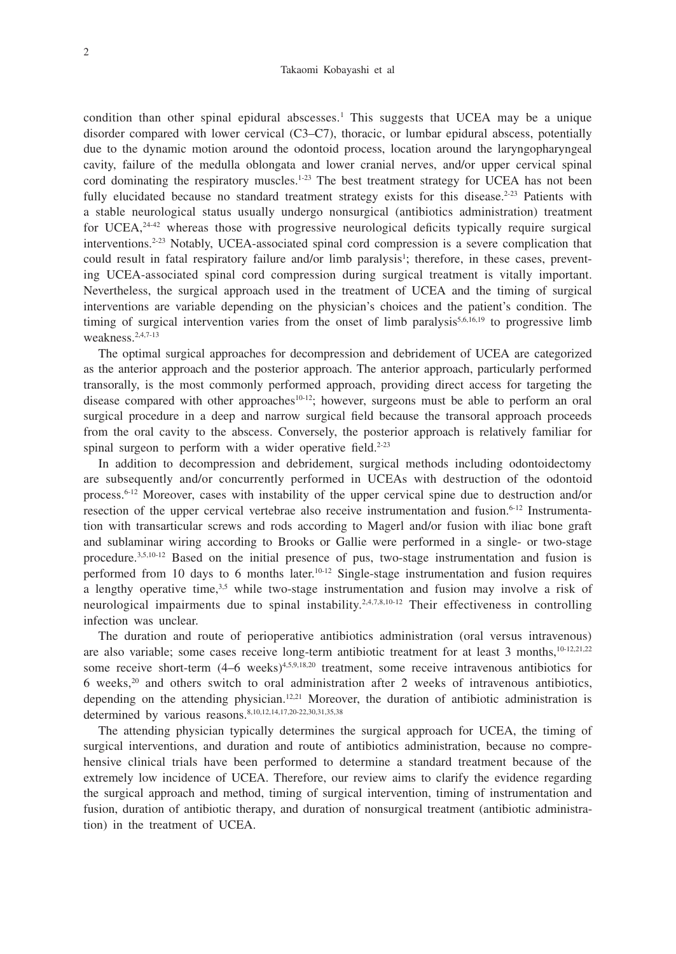#### Takaomi Kobayashi et al

condition than other spinal epidural abscesses.<sup>1</sup> This suggests that UCEA may be a unique disorder compared with lower cervical (C3–C7), thoracic, or lumbar epidural abscess, potentially due to the dynamic motion around the odontoid process, location around the laryngopharyngeal cavity, failure of the medulla oblongata and lower cranial nerves, and/or upper cervical spinal cord dominating the respiratory muscles. $1-23$  The best treatment strategy for UCEA has not been fully elucidated because no standard treatment strategy exists for this disease.<sup>2-23</sup> Patients with a stable neurological status usually undergo nonsurgical (antibiotics administration) treatment for UCEA, $24-42$  whereas those with progressive neurological deficits typically require surgical interventions.2-23 Notably, UCEA-associated spinal cord compression is a severe complication that could result in fatal respiratory failure and/or limb paralysis<sup>1</sup>; therefore, in these cases, preventing UCEA-associated spinal cord compression during surgical treatment is vitally important. Nevertheless, the surgical approach used in the treatment of UCEA and the timing of surgical interventions are variable depending on the physician's choices and the patient's condition. The timing of surgical intervention varies from the onset of limb paralysis<sup>5,6,16,19</sup> to progressive limb weakness.2,4,7-13

The optimal surgical approaches for decompression and debridement of UCEA are categorized as the anterior approach and the posterior approach. The anterior approach, particularly performed transorally, is the most commonly performed approach, providing direct access for targeting the disease compared with other approaches<sup>10-12</sup>; however, surgeons must be able to perform an oral surgical procedure in a deep and narrow surgical field because the transoral approach proceeds from the oral cavity to the abscess. Conversely, the posterior approach is relatively familiar for spinal surgeon to perform with a wider operative field.<sup>2-23</sup>

In addition to decompression and debridement, surgical methods including odontoidectomy are subsequently and/or concurrently performed in UCEAs with destruction of the odontoid process.6-12 Moreover, cases with instability of the upper cervical spine due to destruction and/or resection of the upper cervical vertebrae also receive instrumentation and fusion.6-12 Instrumentation with transarticular screws and rods according to Magerl and/or fusion with iliac bone graft and sublaminar wiring according to Brooks or Gallie were performed in a single- or two-stage procedure.3,5,10-12 Based on the initial presence of pus, two-stage instrumentation and fusion is performed from 10 days to 6 months later.10-12 Single-stage instrumentation and fusion requires a lengthy operative time, $3.5$  while two-stage instrumentation and fusion may involve a risk of neurological impairments due to spinal instability.2,4,7,8,10-12 Their effectiveness in controlling infection was unclear.

The duration and route of perioperative antibiotics administration (oral versus intravenous) are also variable; some cases receive long-term antibiotic treatment for at least 3 months,<sup>10-12,21,22</sup> some receive short-term (4–6 weeks)<sup>4,5,9,18,20</sup> treatment, some receive intravenous antibiotics for 6 weeks, $2<sup>0</sup>$  and others switch to oral administration after 2 weeks of intravenous antibiotics, depending on the attending physician.<sup>12,21</sup> Moreover, the duration of antibiotic administration is determined by various reasons.<sup>8,10,12,14,17,20-22,30,31,35,38</sup>

The attending physician typically determines the surgical approach for UCEA, the timing of surgical interventions, and duration and route of antibiotics administration, because no comprehensive clinical trials have been performed to determine a standard treatment because of the extremely low incidence of UCEA. Therefore, our review aims to clarify the evidence regarding the surgical approach and method, timing of surgical intervention, timing of instrumentation and fusion, duration of antibiotic therapy, and duration of nonsurgical treatment (antibiotic administration) in the treatment of UCEA.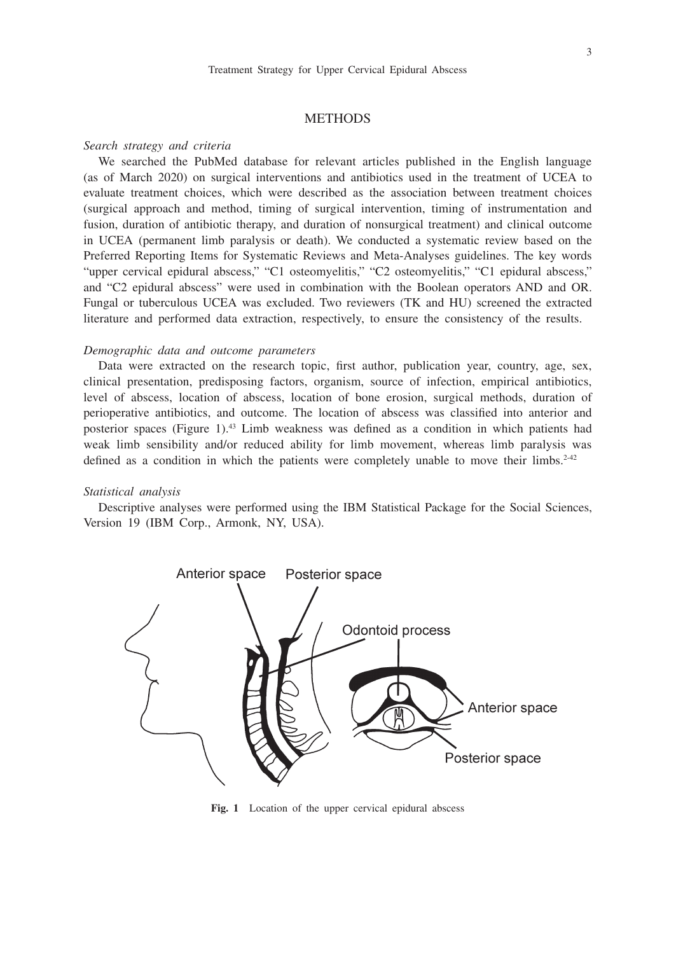# **METHODS**

#### *Search strategy and criteria*

We searched the PubMed database for relevant articles published in the English language (as of March 2020) on surgical interventions and antibiotics used in the treatment of UCEA to evaluate treatment choices, which were described as the association between treatment choices (surgical approach and method, timing of surgical intervention, timing of instrumentation and fusion, duration of antibiotic therapy, and duration of nonsurgical treatment) and clinical outcome in UCEA (permanent limb paralysis or death). We conducted a systematic review based on the Preferred Reporting Items for Systematic Reviews and Meta-Analyses guidelines. The key words "upper cervical epidural abscess," "C1 osteomyelitis," "C2 osteomyelitis," "C1 epidural abscess," and "C2 epidural abscess" were used in combination with the Boolean operators AND and OR. Fungal or tuberculous UCEA was excluded. Two reviewers (TK and HU) screened the extracted literature and performed data extraction, respectively, to ensure the consistency of the results.

## *Demographic data and outcome parameters*

Data were extracted on the research topic, first author, publication year, country, age, sex, clinical presentation, predisposing factors, organism, source of infection, empirical antibiotics, level of abscess, location of abscess, location of bone erosion, surgical methods, duration of perioperative antibiotics, and outcome. The location of abscess was classified into anterior and posterior spaces (Figure 1).43 Limb weakness was defined as a condition in which patients had weak limb sensibility and/or reduced ability for limb movement, whereas limb paralysis was defined as a condition in which the patients were completely unable to move their limbs.<sup>2-42</sup>

## *Statistical analysis*

Descriptive analyses were performed using the IBM Statistical Package for the Social Sciences, Version 19 (IBM Corp., Armonk, NY, USA).



Fig. 1 Location of the upper cervical epidural abscess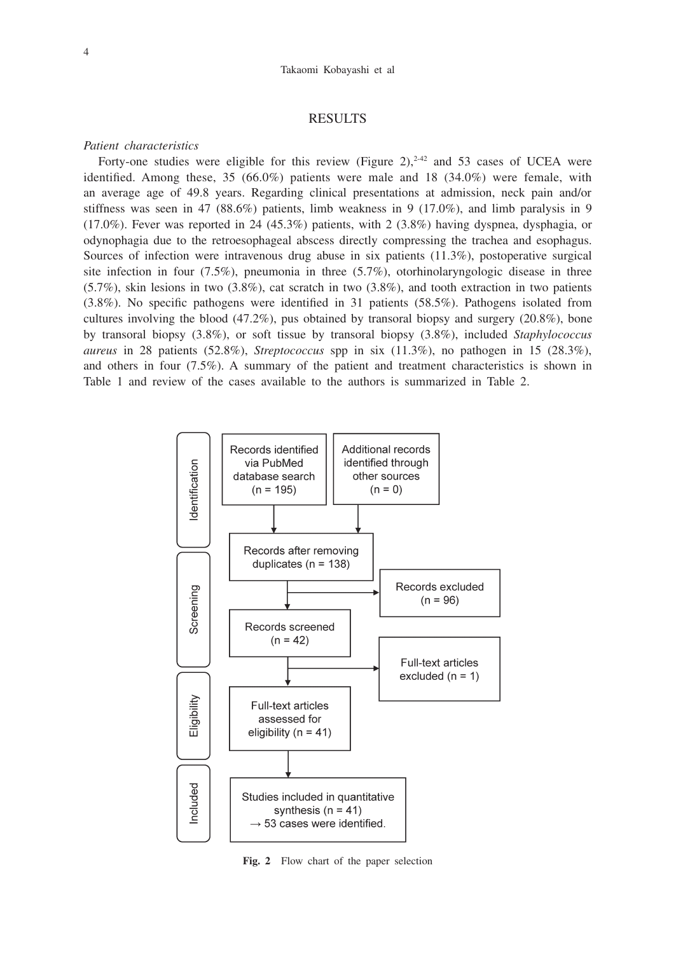#### Takaomi Kobayashi et al

## RESULTS

### *Patient characteristics*

Forty-one studies were eligible for this review (Figure 2),<sup>2-42</sup> and 53 cases of UCEA were identified. Among these, 35  $(66.0\%)$  patients were male and 18  $(34.0\%)$  were female, with an average age of 49.8 years. Regarding clinical presentations at admission, neck pain and/or stiffness was seen in 47 (88.6%) patients, limb weakness in 9 (17.0%), and limb paralysis in 9 (17.0%). Fever was reported in 24 (45.3%) patients, with 2 (3.8%) having dyspnea, dysphagia, or odynophagia due to the retroesophageal abscess directly compressing the trachea and esophagus. Sources of infection were intravenous drug abuse in six patients (11.3%), postoperative surgical site infection in four (7.5%), pneumonia in three (5.7%), otorhinolaryngologic disease in three  $(5.7\%)$ , skin lesions in two  $(3.8\%)$ , cat scratch in two  $(3.8\%)$ , and tooth extraction in two patients (3.8%). No specific pathogens were identified in 31 patients (58.5%). Pathogens isolated from cultures involving the blood  $(47.2\%)$ , pus obtained by transoral biopsy and surgery  $(20.8\%)$ , bone by transoral biopsy (3.8%), or soft tissue by transoral biopsy (3.8%), included *Staphylococcus aureus* in 28 patients (52.8%), *Streptococcus* spp in six (11.3%), no pathogen in 15 (28.3%), and others in four (7.5%). A summary of the patient and treatment characteristics is shown in Table 1 and review of the cases available to the authors is summarized in Table 2.



**Fig. 2** Flow chart of the paper selection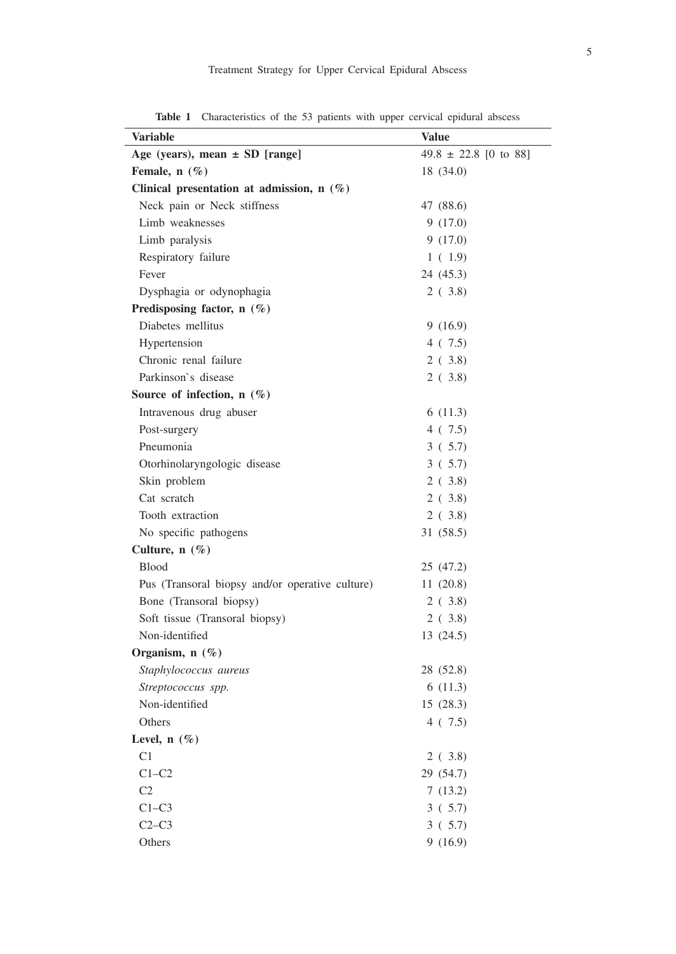| × |  |   |   |
|---|--|---|---|
|   |  |   | I |
|   |  | ł |   |
|   |  |   |   |

| <b>Variable</b>                                 | <b>Value</b>              |
|-------------------------------------------------|---------------------------|
| Age (years), mean $\pm$ SD [range]              | $49.8 \pm 22.8$ [0 to 88] |
| Female, $n$ (%)                                 | 18 (34.0)                 |
| Clinical presentation at admission, $n$ (%)     |                           |
| Neck pain or Neck stiffness                     | 47 (88.6)                 |
| Limb weaknesses                                 | 9(17.0)                   |
| Limb paralysis                                  | 9(17.0)                   |
| Respiratory failure                             | 1(1.9)                    |
| Fever                                           | 24 (45.3)                 |
| Dysphagia or odynophagia                        | 2(3.8)                    |
| Predisposing factor, n (%)                      |                           |
| Diabetes mellitus                               | 9(16.9)                   |
| Hypertension                                    | 4(7.5)                    |
| Chronic renal failure                           | 2(3.8)                    |
| Parkinson's disease                             | 2(3.8)                    |
| Source of infection, $n$ (%)                    |                           |
| Intravenous drug abuser                         | 6(11.3)                   |
| Post-surgery                                    | 4(7.5)                    |
| Pneumonia                                       | 3(5.7)                    |
| Otorhinolaryngologic disease                    | 3(5.7)                    |
| Skin problem                                    | 2(3.8)                    |
| Cat scratch                                     | 2(3.8)                    |
| Tooth extraction                                | 2(3.8)                    |
| No specific pathogens                           | 31 (58.5)                 |
| Culture, n (%)                                  |                           |
| <b>Blood</b>                                    | 25 (47.2)                 |
| Pus (Transoral biopsy and/or operative culture) | 11(20.8)                  |
| Bone (Transoral biopsy)                         | 2(3.8)                    |
| Soft tissue (Transoral biopsy)                  | 2(3.8)                    |
| Non-identified                                  | 13 (24.5)                 |
| Organism, n (%)                                 |                           |
| Staphylococcus aureus                           | 28 (52.8)                 |
| Streptococcus spp.                              | 6(11.3)                   |
| Non-identified                                  | 15 (28.3)                 |
| Others                                          | 4(7.5)                    |
| Level, $n$ (%)                                  |                           |
| C <sub>1</sub>                                  | 2(3.8)                    |
| $C1-C2$                                         | 29 (54.7)                 |
| C2                                              | 7(13.2)                   |
| $C1-C3$                                         | 3(5.7)                    |
| $C2-C3$                                         | 3(5.7)                    |
| Others                                          | 9(16.9)                   |

**Table 1** Characteristics of the 53 patients with upper cervical epidural abscess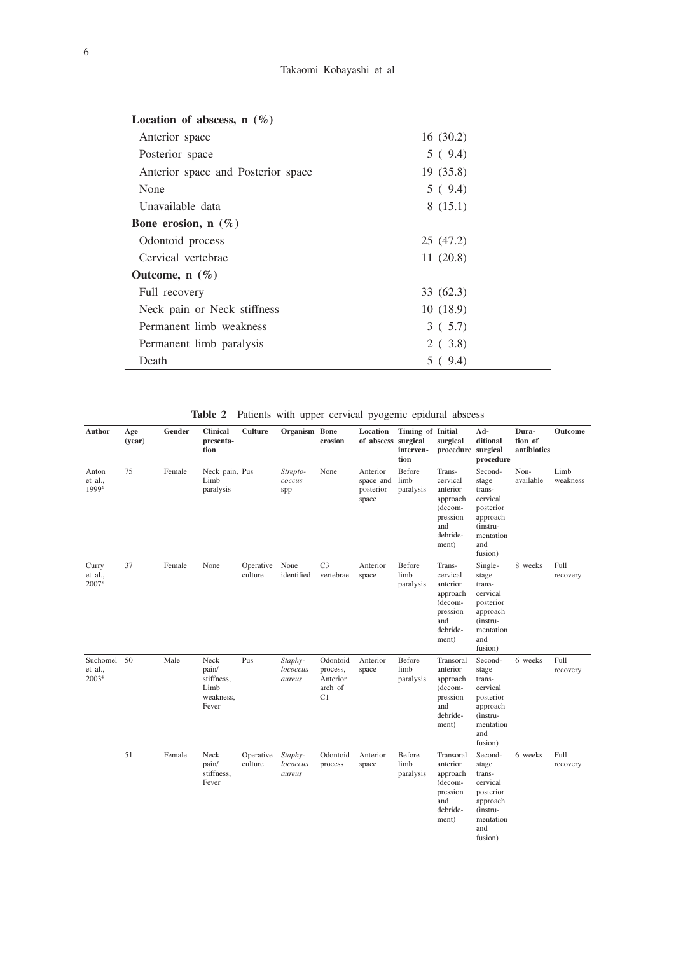| Location of abscess, $n(\%)$       |           |  |
|------------------------------------|-----------|--|
| Anterior space                     | 16(30.2)  |  |
| Posterior space                    | 5(9.4)    |  |
| Anterior space and Posterior space | 19(35.8)  |  |
| None                               | 5(9.4)    |  |
| Unavailable data                   | 8(15.1)   |  |
| Bone erosion, $n(\%)$              |           |  |
| Odontoid process                   | 25 (47.2) |  |
| Cervical vertebrae                 | 11(20.8)  |  |
| Outcome, $n(\%)$                   |           |  |
| Full recovery                      | 33 (62.3) |  |
| Neck pain or Neck stiffness        | 10(18.9)  |  |
| Permanent limb weakness            | 3(5.7)    |  |
| Permanent limb paralysis           | 2(3.8)    |  |
| Death                              | 5(9.4)    |  |
|                                    |           |  |

| Table 2 Patients with upper cervical pyogenic epidural abscess |  |  |  |  |  |  |  |  |  |
|----------------------------------------------------------------|--|--|--|--|--|--|--|--|--|
|----------------------------------------------------------------|--|--|--|--|--|--|--|--|--|

| Author                                      | Age<br>(year) | Gender | Clinical<br>presenta-<br>tion                             | Culture              | Organism Bone                 | erosion                                           | Location<br>of abscess surgical             | Timing of Initial<br>interven-<br>tion | surgical<br>procedure surgical                                                                | Ad-<br>ditional<br>procedure                                                                               | Dura-<br>tion of<br>antibiotics | Outcome          |
|---------------------------------------------|---------------|--------|-----------------------------------------------------------|----------------------|-------------------------------|---------------------------------------------------|---------------------------------------------|----------------------------------------|-----------------------------------------------------------------------------------------------|------------------------------------------------------------------------------------------------------------|---------------------------------|------------------|
| Anton<br>et al.,<br>1999 <sup>2</sup>       | 75            | Female | Neck pain, Pus<br>Limb<br>paralysis                       |                      | Strepto-<br>coccus<br>spp     | None                                              | Anterior<br>space and<br>posterior<br>space | Before<br>limb<br>paralysis            | Trans-<br>cervical<br>anterior<br>approach<br>(decom-<br>pression<br>and<br>debride-<br>ment) | Second-<br>stage<br>trans-<br>cervical<br>posterior<br>approach<br>(instru-<br>mentation<br>and<br>fusion) | Non-<br>available               | Limb<br>weakness |
| Curry<br>et al.,<br>2007 <sup>3</sup>       | 37            | Female | None                                                      | Operative<br>culture | None<br>identified            | C <sub>3</sub><br>vertebrae                       | Anterior<br>space                           | Before<br>limb<br>paralysis            | Trans-<br>cervical<br>anterior<br>approach<br>(decom-<br>pression<br>and<br>debride-<br>ment) | Single-<br>stage<br>trans-<br>cervical<br>posterior<br>approach<br>(instru-<br>mentation<br>and<br>fusion) | 8 weeks                         | Full<br>recovery |
| Suchomel 50<br>et al.,<br>2003 <sup>4</sup> |               | Male   | Neck<br>pain/<br>stiffness,<br>Limb<br>weakness,<br>Fever | Pus                  | Staphy-<br>lococcus<br>aureus | Odontoid<br>process,<br>Anterior<br>arch of<br>C1 | Anterior<br>space                           | Before<br>limb<br>paralysis            | Transoral<br>anterior<br>approach<br>(decom-<br>pression<br>and<br>debride-<br>ment)          | Second-<br>stage<br>trans-<br>cervical<br>posterior<br>approach<br>(instru-<br>mentation<br>and<br>fusion) | 6 weeks                         | Full<br>recovery |
|                                             | 51            | Female | Neck<br>pain/<br>stiffness,<br>Fever                      | Operative<br>culture | Staphy-<br>lococcus<br>aureus | Odontoid<br>process                               | Anterior<br>space                           | Before<br>limb<br>paralysis            | Transoral<br>anterior<br>approach<br>(decom-<br>pression<br>and<br>debride-<br>ment)          | Second-<br>stage<br>trans-<br>cervical<br>posterior<br>approach<br>(instru-<br>mentation<br>and<br>fusion) | 6 weeks                         | Full<br>recovery |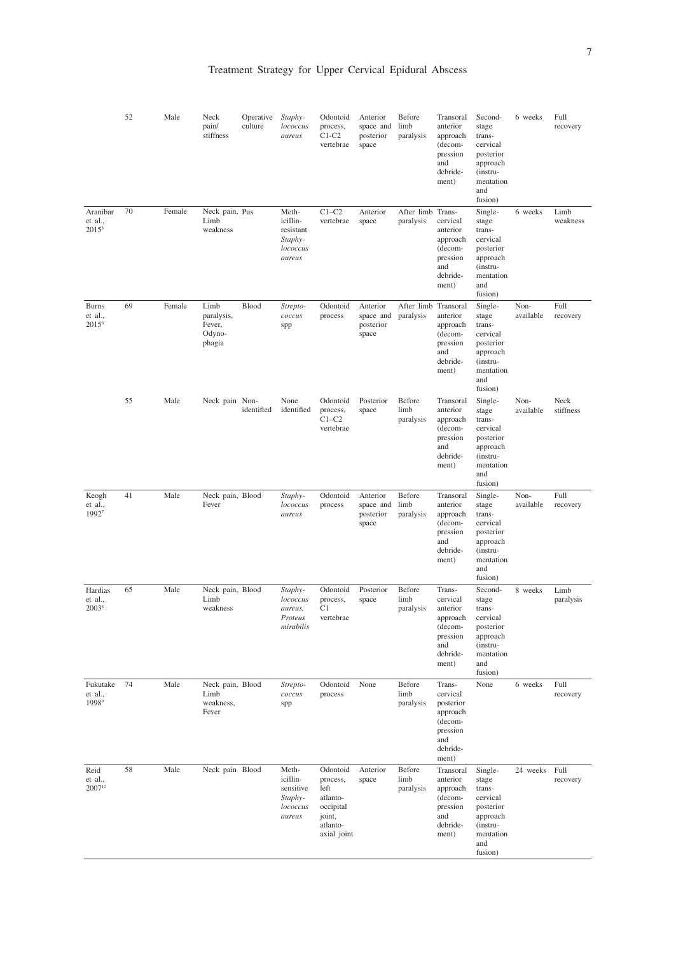|                                          | 52 | Male   | Neck<br>pain/<br>stiffness                       | Operative<br>culture | Staphy-<br>lococcus<br>aureus                                   | Odontoid<br>process,<br>$C1-C2$<br>vertebrae                                               | Anterior<br>space and<br>posterior<br>space           | Before<br>limb<br>paralysis    | Transoral<br>anterior<br>approach<br>(decom-<br>pression<br>and<br>debride-<br>ment)           | Second-<br>stage<br>trans-<br>cervical<br>posterior<br>approach<br>(instru-<br>mentation<br>and<br>fusion) | 6 weeks           | Full<br>recovery  |
|------------------------------------------|----|--------|--------------------------------------------------|----------------------|-----------------------------------------------------------------|--------------------------------------------------------------------------------------------|-------------------------------------------------------|--------------------------------|------------------------------------------------------------------------------------------------|------------------------------------------------------------------------------------------------------------|-------------------|-------------------|
| Aranibar<br>et al.,<br>2015 <sup>5</sup> | 70 | Female | Neck pain, Pus<br>Limb<br>weakness               |                      | Meth-<br>icillin-<br>resistant<br>Staphy-<br>lococcus<br>aureus | $C1-C2$<br>vertebrae                                                                       | Anterior<br>space                                     | After limb Trans-<br>paralysis | cervical<br>anterior<br>approach<br>(decom-<br>pression<br>and<br>debride-<br>ment)            | Single-<br>stage<br>trans-<br>cervical<br>posterior<br>approach<br>(instru-<br>mentation<br>and<br>fusion) | 6 weeks           | Limb<br>weakness  |
| Burns<br>et al.,<br>2015 <sup>6</sup>    | 69 | Female | Limb<br>paralysis,<br>Fever,<br>Odyno-<br>phagia | Blood                | Strepto-<br>coccus<br>spp                                       | Odontoid<br>process                                                                        | Anterior<br>space and paralysis<br>posterior<br>space | After limb Transoral           | anterior<br>approach<br>(decom-<br>pression<br>and<br>debride-<br>ment)                        | Single-<br>stage<br>trans-<br>cervical<br>posterior<br>approach<br>(instru-<br>mentation<br>and<br>fusion) | Non-<br>available | Full<br>recovery  |
|                                          | 55 | Male   | Neck pain Non-                                   | identified           | None<br>identified                                              | Odontoid<br>process,<br>$C1-C2$<br>vertebrae                                               | Posterior<br>space                                    | Before<br>limb<br>paralysis    | Transoral<br>anterior<br>approach<br>(decom-<br>pression<br>and<br>debride-<br>ment)           | Single-<br>stage<br>trans-<br>cervical<br>posterior<br>approach<br>(instru-<br>mentation<br>and<br>fusion) | Non-<br>available | Neck<br>stiffness |
| Keogh<br>et al.,<br>19927                | 41 | Male   | Neck pain, Blood<br>Fever                        |                      | Staphy-<br>lococcus<br>aureus                                   | Odontoid<br>process                                                                        | Anterior<br>space and<br>posterior<br>space           | Before<br>limb<br>paralysis    | Transoral<br>anterior<br>approach<br>(decom-<br>pression<br>and<br>debride-<br>ment)           | Single-<br>stage<br>trans-<br>cervical<br>posterior<br>approach<br>(instru-<br>mentation<br>and<br>fusion) | Non-<br>available | Full<br>recovery  |
| Hardias<br>et al.,<br>2003 <sup>8</sup>  | 65 | Male   | Neck pain, Blood<br>Limb<br>weakness             |                      | Staphy-<br>lococcus<br>aureus,<br>Proteus<br>mirabilis          | Odontoid<br>process,<br>C1<br>vertebrae                                                    | Posterior<br>space                                    | Before<br>limb<br>paralysis    | Trans-<br>cervical<br>anterior<br>approach<br>(decom-<br>pression<br>and<br>debride-<br>ment)  | Second-<br>stage<br>trans-<br>cervical<br>posterior<br>approach<br>(instru-<br>mentation<br>and<br>fusion) | 8 weeks           | Limb<br>paralysis |
| Fukutake<br>et al.,<br>1998 <sup>9</sup> | 74 | Male   | Neck pain, Blood<br>Limb<br>weakness,<br>Fever   |                      | Strepto-<br>coccus<br>spp                                       | Odontoid<br>process                                                                        | None                                                  | Before<br>limb<br>paralysis    | Trans-<br>cervical<br>posterior<br>approach<br>(decom-<br>pression<br>and<br>debride-<br>ment) | None                                                                                                       | 6 weeks           | Full<br>recovery  |
| Reid<br>et al.,<br>200710                | 58 | Male   | Neck pain Blood                                  |                      | Meth-<br>icillin-<br>sensitive<br>Staphy-<br>lococcus<br>aureus | Odontoid<br>process,<br>left<br>atlanto-<br>occipital<br>joint,<br>atlanto-<br>axial joint | Anterior<br>space                                     | Before<br>limb<br>paralysis    | Transoral<br>anterior<br>approach<br>(decom-<br>pression<br>and<br>debride-<br>ment)           | Single-<br>stage<br>trans-<br>cervical<br>posterior<br>approach<br>(instru-<br>mentation<br>and<br>fusion) | 24 weeks Full     | recovery          |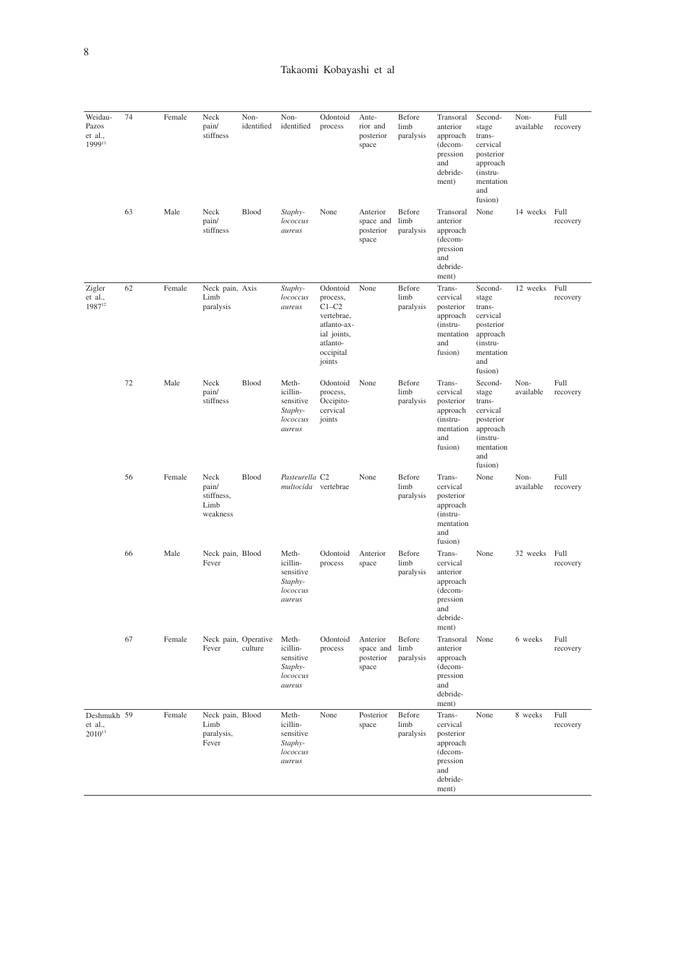| Weidau-<br>Pazos<br>et al.,<br>199911   | 74 | Female | Neck<br>pain/<br>stiffness                      | Non-<br>identified | Non-<br>identified                                              | Odontoid<br>process                                                                                            | Ante-<br>rior and<br>posterior<br>space     | Before<br>limb<br>paralysis | Transoral<br>anterior<br>approach<br>(decom-<br>pression<br>and<br>debride-<br>ment)           | Second-<br>stage<br>trans-<br>cervical<br>posterior<br>approach<br>(instru-<br>mentation<br>and<br>fusion) | Non-<br>available | Full<br>recovery |
|-----------------------------------------|----|--------|-------------------------------------------------|--------------------|-----------------------------------------------------------------|----------------------------------------------------------------------------------------------------------------|---------------------------------------------|-----------------------------|------------------------------------------------------------------------------------------------|------------------------------------------------------------------------------------------------------------|-------------------|------------------|
|                                         | 63 | Male   | Neck<br>pain/<br>stiffness                      | Blood              | Staphy-<br>lococcus<br>aureus                                   | None                                                                                                           | Anterior<br>space and<br>posterior<br>space | Before<br>limb<br>paralysis | Transoral<br>anterior<br>approach<br>(decom-<br>pression<br>and<br>debride-<br>ment)           | None                                                                                                       | 14 weeks Full     | recovery         |
| Zigler<br>et al.,<br>1987 <sup>12</sup> | 62 | Female | Neck pain, Axis<br>Limb<br>paralysis            |                    | Staphy-<br>lococcus<br>aureus                                   | Odontoid<br>process,<br>$C1-C2$<br>vertebrae,<br>atlanto-ax-<br>ial joints,<br>atlanto-<br>occipital<br>joints | None                                        | Before<br>limb<br>paralysis | Trans-<br>cervical<br>posterior<br>approach<br>(instru-<br>mentation<br>and<br>fusion)         | Second-<br>stage<br>trans-<br>cervical<br>posterior<br>approach<br>(instru-<br>mentation<br>and<br>fusion) | 12 weeks          | Full<br>recovery |
|                                         | 72 | Male   | Neck<br>pain/<br>stiffness                      | Blood              | Meth-<br>icillin-<br>sensitive<br>Staphy-<br>lococcus<br>aureus | Odontoid<br>process,<br>Occipito-<br>cervical<br>joints                                                        | None                                        | Before<br>limb<br>paralysis | Trans-<br>cervical<br>posterior<br>approach<br>(instru-<br>mentation<br>and<br>fusion)         | Second-<br>stage<br>trans-<br>cervical<br>posterior<br>approach<br>(instru-<br>mentation<br>and<br>fusion) | Non-<br>available | Full<br>recovery |
|                                         | 56 | Female | Neck<br>pain/<br>stiffness,<br>Limb<br>weakness | <b>Blood</b>       | Pasteurella C2<br>multocida vertebrae                           |                                                                                                                | None                                        | Before<br>limb<br>paralysis | Trans-<br>cervical<br>posterior<br>approach<br>(instru-<br>mentation<br>and<br>fusion)         | None                                                                                                       | Non-<br>available | Full<br>recovery |
|                                         | 66 | Male   | Neck pain, Blood<br>Fever                       |                    | Meth-<br>icillin-<br>sensitive<br>Staphy-<br>lococcus<br>aureus | Odontoid<br>process                                                                                            | Anterior<br>space                           | Before<br>limb<br>paralysis | Trans-<br>cervical<br>anterior<br>approach<br>(decom-<br>pression<br>and<br>debride-<br>ment)  | None                                                                                                       | 32 weeks          | Full<br>recovery |
|                                         | 67 | Female | Neck pain, Operative<br>Fever                   | culture            | Meth-<br>icillin-<br>sensitive<br>Staphy-<br>lococcus<br>aureus | Odontoid<br>process                                                                                            | Anterior<br>space and<br>posterior<br>space | Before<br>limb<br>paralysis | Transoral<br>anterior<br>approach<br>(decom-<br>pression<br>and<br>debride-<br>ment)           | None                                                                                                       | 6 weeks           | Full<br>recovery |
| Deshmukh 59<br>et al.,<br>$2010^{13}$   |    | Female | Neck pain, Blood<br>Limb<br>paralysis,<br>Fever |                    | Meth-<br>icillin-<br>sensitive<br>Staphy-<br>lococcus<br>aureus | None                                                                                                           | Posterior<br>space                          | Before<br>limb<br>paralysis | Trans-<br>cervical<br>posterior<br>approach<br>(decom-<br>pression<br>and<br>debride-<br>ment) | None                                                                                                       | 8 weeks           | Full<br>recovery |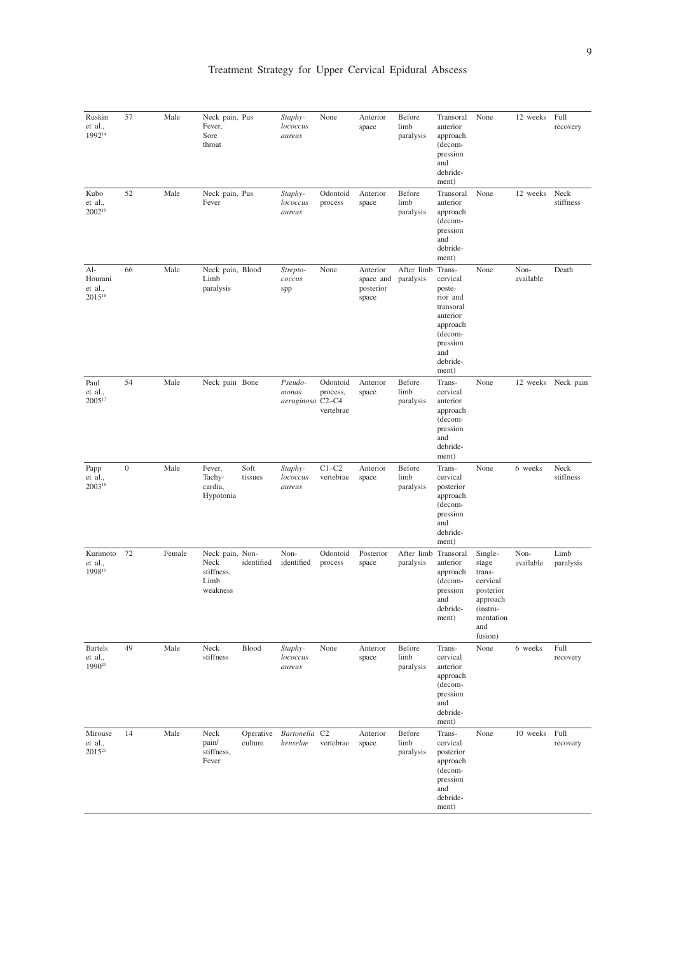| Ruskin<br>et al.,<br>199214                     | 57               | Male   | Neck pain, Pus<br>Fever,<br>Sore<br>throat                |                      | Staphy-<br>lococcus<br>aureus        | None                              | Anterior<br>space                           | Before<br>limb<br>paralysis       | Transoral<br>anterior<br>approach<br>(decom-<br>pression<br>and<br>debride-<br>ment)                                   | None                                                                                                       | 12 weeks          | Full<br>recovery   |
|-------------------------------------------------|------------------|--------|-----------------------------------------------------------|----------------------|--------------------------------------|-----------------------------------|---------------------------------------------|-----------------------------------|------------------------------------------------------------------------------------------------------------------------|------------------------------------------------------------------------------------------------------------|-------------------|--------------------|
| Kubo<br>et al.,<br>2002 <sup>15</sup>           | 52               | Male   | Neck pain, Pus<br>Fever                                   |                      | Staphy-<br>lococcus<br>aureus        | Odontoid<br>process               | Anterior<br>space                           | Before<br>limb<br>paralysis       | Transoral<br>anterior<br>approach<br>(decom-<br>pression<br>and<br>debride-<br>ment)                                   | None                                                                                                       | 12 weeks          | Neck<br>stiffness  |
| Al-<br>Hourani<br>et al.,<br>2015 <sup>16</sup> | 66               | Male   | Neck pain, Blood<br>Limb<br>paralysis                     |                      | Strepto-<br>coccus<br>spp            | None                              | Anterior<br>space and<br>posterior<br>space | After limb Trans-<br>paralysis    | cervical<br>poste-<br>rior and<br>transoral<br>anterior<br>approach<br>(decom-<br>pression<br>and<br>debride-<br>ment) | None                                                                                                       | Non-<br>available | Death              |
| Paul<br>et al.,<br>200517                       | 54               | Male   | Neck pain Bone                                            |                      | Pseudo-<br>monas<br>aeruginosa C2-C4 | Odontoid<br>process,<br>vertebrae | Anterior<br>space                           | Before<br>limb<br>paralysis       | Trans-<br>cervical<br>anterior<br>approach<br>(decom-<br>pression<br>and<br>debride-<br>ment)                          | None                                                                                                       |                   | 12 weeks Neck pain |
| Papp<br>et al.,<br>200318                       | $\boldsymbol{0}$ | Male   | Fever,<br>Tachy-<br>cardia,<br>Hypotonia                  | Soft<br>tissues      | Staphy-<br>lococcus<br>aureus        | $C1-C2$<br>vertebrae              | Anterior<br>space                           | Before<br>limb<br>paralysis       | Trans-<br>cervical<br>posterior<br>approach<br>(decom-<br>pression<br>and<br>debride-<br>ment)                         | None                                                                                                       | 6 weeks           | Neck<br>stiffness  |
| Kurimoto<br>et al.,<br>199819                   | 72               | Female | Neck pain, Non-<br>Neck<br>stiffness,<br>Limb<br>weakness | identified           | Non-<br>identified                   | Odontoid<br>process               | Posterior<br>space                          | After limb Transoral<br>paralysis | anterior<br>approach<br>(decom-<br>pression<br>and<br>debride-<br>ment)                                                | Single-<br>stage<br>trans-<br>cervical<br>posterior<br>approach<br>(instru-<br>mentation<br>and<br>fusion) | Non-<br>available | Limb<br>paralysis  |
| <b>Bartels</b><br>et al.,<br>1990 <sup>20</sup> | 49               | Male   | Neck<br>stiffness                                         | Blood                | Staphy-<br>lococcus<br>aureus        | None                              | Anterior<br>space                           | Before<br>limb<br>paralysis       | Trans-<br>cervical<br>anterior<br>approach<br>(decom-<br>pression<br>and<br>debride-<br>ment)                          | None                                                                                                       | 6 weeks           | Full<br>recovery   |
| Mirouse<br>et al.,<br>$2015^{21}$               | 14               | Male   | Neck<br>pain/<br>stiffness,<br>Fever                      | Operative<br>culture | Bartonella C2<br>henselae            | vertebrae                         | Anterior<br>space                           | Before<br>limb<br>paralysis       | Trans-<br>cervical<br>posterior<br>approach<br>(decom-<br>pression<br>and<br>debride-<br>ment)                         | None                                                                                                       | 10 weeks          | Full<br>recovery   |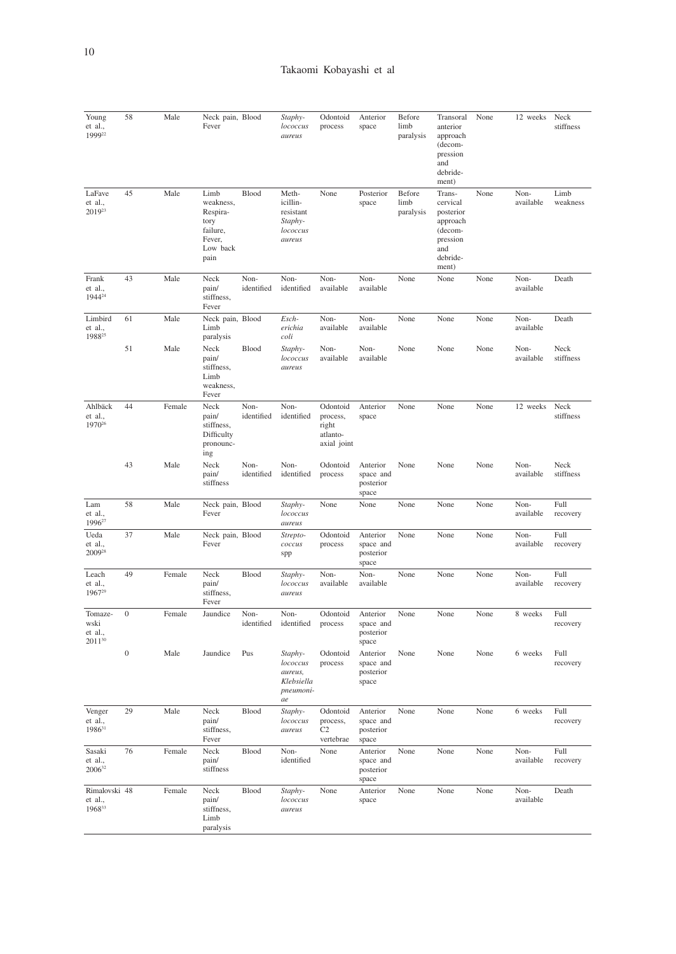| Young<br>et al.,<br>199922               | 58               | Male   | Neck pain, Blood<br>Fever                                                       |                    | Staphy-<br>lococcus<br>aureus                                   | Odontoid<br>process                                      | Anterior<br>space                           | Before<br>limb<br>paralysis | Transoral<br>anterior<br>approach<br>(decom-<br>pression<br>and<br>debride-<br>ment)           | None | 12 weeks          | Neck<br>stiffness |
|------------------------------------------|------------------|--------|---------------------------------------------------------------------------------|--------------------|-----------------------------------------------------------------|----------------------------------------------------------|---------------------------------------------|-----------------------------|------------------------------------------------------------------------------------------------|------|-------------------|-------------------|
| LaFave<br>et al.,<br>201923              | 45               | Male   | Limb<br>weakness,<br>Respira-<br>tory<br>failure,<br>Fever,<br>Low back<br>pain | Blood              | Meth-<br>icillin-<br>resistant<br>Staphy-<br>lococcus<br>aureus | None                                                     | Posterior<br>space                          | Before<br>limb<br>paralysis | Trans-<br>cervical<br>posterior<br>approach<br>(decom-<br>pression<br>and<br>debride-<br>ment) | None | Non-<br>available | Limb<br>weakness  |
| Frank<br>et al.,<br>1944 <sup>24</sup>   | 43               | Male   | Neck<br>pain/<br>stiffness.<br>Fever                                            | Non-<br>identified | Non-<br>identified                                              | Non-<br>available                                        | Non-<br>available                           | None                        | None                                                                                           | None | Non-<br>available | Death             |
| Limbird<br>et al.,<br>1988 <sup>25</sup> | 61               | Male   | Neck pain, Blood<br>Limb<br>paralysis                                           |                    | Esch-<br>erichia<br>coli                                        | Non-<br>available                                        | Non-<br>available                           | None                        | None                                                                                           | None | Non-<br>available | Death             |
|                                          | 51               | Male   | Neck<br>pain/<br>stiffness.<br>Limb<br>weakness,<br>Fever                       | Blood              | Staphy-<br>lococcus<br>aureus                                   | Non-<br>available                                        | Non-<br>available                           | None                        | None                                                                                           | None | Non-<br>available | Neck<br>stiffness |
| Ahlbäck<br>et al<br>1970 <sup>26</sup>   | 44               | Female | Neck<br>pain/<br>stiffness,<br>Difficulty<br>pronounc-<br>ing                   | Non-<br>identified | Non-<br>identified                                              | Odontoid<br>process,<br>right<br>atlanto-<br>axial joint | Anterior<br>space                           | None                        | None                                                                                           | None | 12 weeks          | Neck<br>stiffness |
|                                          | 43               | Male   | Neck<br>pain/<br>stiffness                                                      | Non-<br>identified | Non-<br>identified                                              | Odontoid<br>process                                      | Anterior<br>space and<br>posterior<br>space | None                        | None                                                                                           | None | Non-<br>available | Neck<br>stiffness |
| Lam<br>et al.,<br>1996 <sup>27</sup>     | 58               | Male   | Neck pain, Blood<br>Fever                                                       |                    | Staphy-<br>lococcus<br>aureus                                   | None                                                     | None                                        | None                        | None                                                                                           | None | Non-<br>available | Full<br>recovery  |
| Ueda<br>et al.,<br>2009 <sup>28</sup>    | 37               | Male   | Neck pain, Blood<br>Fever                                                       |                    | Strepto-<br>coccus<br>spp                                       | Odontoid<br>process                                      | Anterior<br>space and<br>posterior<br>space | None                        | None                                                                                           | None | Non-<br>available | Full<br>recovery  |
| Leach<br>et al.,<br>1967 <sup>29</sup>   | 49               | Female | Neck<br>pain/<br>stiffness,<br>Fever                                            | Blood              | Staphy-<br>lococcus<br>aureus                                   | Non-<br>available                                        | Non-<br>available                           | None                        | None                                                                                           | None | Non-<br>available | Full<br>recovery  |
| Tomaze-<br>wski<br>et al.,<br>201130     | $\boldsymbol{0}$ | Female | Jaundice                                                                        | Non-<br>identified | Non-<br>identified                                              | Odontoid<br>process                                      | Anterior<br>space and<br>posterior<br>space | None                        | None                                                                                           | None | 8 weeks           | Full<br>recovery  |
|                                          | $\boldsymbol{0}$ | Male   | Jaundice                                                                        | Pus                | Staphy-<br>lococcus<br>aureus,<br>Klebsiella<br>pneumoni-<br>ae | Odontoid<br>process                                      | Anterior<br>space and<br>posterior<br>space | None                        | None                                                                                           | None | 6 weeks           | Full<br>recovery  |
| Venger<br>et al.,<br>198631              | 29               | Male   | Neck<br>pain/<br>stiffness,<br>Fever                                            | Blood              | Staphy-<br>lococcus<br>aureus                                   | Odontoid<br>process,<br>C <sub>2</sub><br>vertebrae      | Anterior<br>space and<br>posterior<br>space | None                        | None                                                                                           | None | 6 weeks           | Full<br>recovery  |
| Sasaki<br>et al.,<br>200632              | 76               | Female | Neck<br>pain/<br>stiffness                                                      | Blood              | Non-<br>identified                                              | None                                                     | Anterior<br>space and<br>posterior<br>space | None                        | None                                                                                           | None | Non-<br>available | Full<br>recovery  |
| Rimalovski 48<br>et al.,<br>196833       |                  | Female | Neck<br>pain/<br>stiffness.<br>Limb<br>paralysis                                | Blood              | Staphy-<br>lococcus<br>aureus                                   | None                                                     | Anterior<br>space                           | None                        | None                                                                                           | None | Non-<br>available | Death             |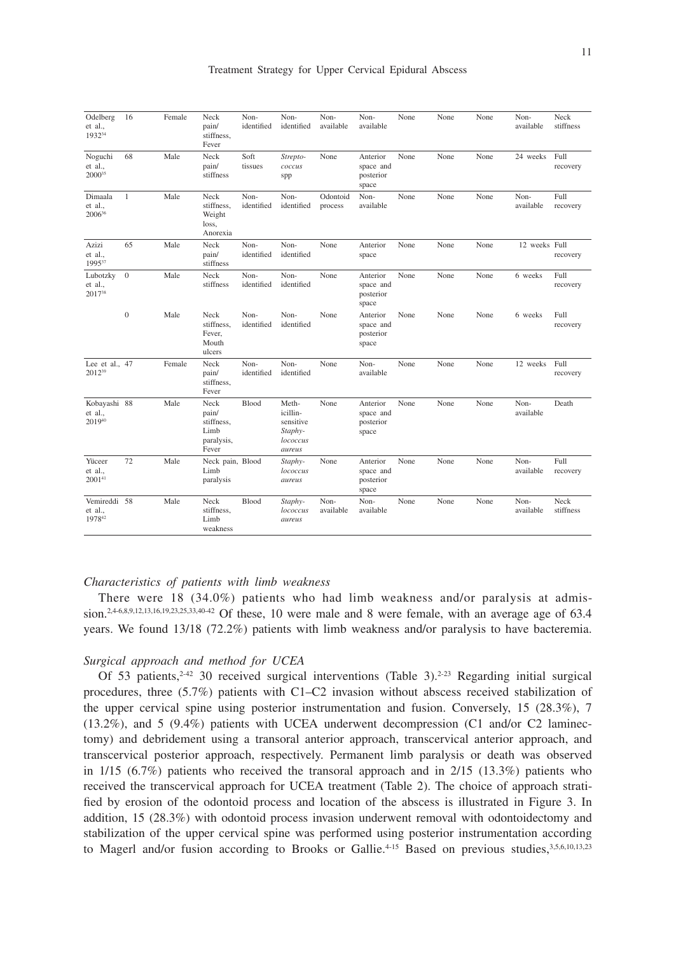| Odelberg<br>et al.,<br>193234     | 16               | Female | Neck<br>pain/<br>stiffness.<br>Fever                       | Non-<br>identified | Non-<br>identified                                              | Non-<br>available   | Non-<br>available                           | None | None | None | Non-<br>available | Neck<br>stiffness |
|-----------------------------------|------------------|--------|------------------------------------------------------------|--------------------|-----------------------------------------------------------------|---------------------|---------------------------------------------|------|------|------|-------------------|-------------------|
| Noguchi<br>et al.,<br>200035      | 68               | Male   | Neck<br>pain/<br>stiffness                                 | Soft<br>tissues    | Strepto-<br>coccus<br>spp                                       | None                | Anterior<br>space and<br>posterior<br>space | None | None | None | 24 weeks          | Full<br>recovery  |
| Dimaala<br>et al.,<br>200636      | $\mathbf{1}$     | Male   | Neck<br>stiffness.<br>Weight<br>loss,<br>Anorexia          | Non-<br>identified | Non-<br>identified                                              | Odontoid<br>process | Non-<br>available                           | None | None | None | Non-<br>available | Full<br>recovery  |
| Azizi<br>et al.,<br>199537        | 65               | Male   | Neck<br>pain/<br>stiffness                                 | Non-<br>identified | Non-<br>identified                                              | None                | Anterior<br>space                           | None | None | None | 12 weeks Full     | recovery          |
| Lubotzky<br>et al.,<br>201738     | $\mathbf{0}$     | Male   | Neck<br>stiffness                                          | Non-<br>identified | Non-<br>identified                                              | None                | Anterior<br>space and<br>posterior<br>space | None | None | None | 6 weeks           | Full<br>recovery  |
|                                   | $\boldsymbol{0}$ | Male   | Neck<br>stiffness.<br>Fever,<br>Mouth<br>ulcers            | Non-<br>identified | Non-<br>identified                                              | None                | Anterior<br>space and<br>posterior<br>space | None | None | None | 6 weeks           | Full<br>recovery  |
| Lee et al., 47<br>201239          |                  | Female | Neck<br>pain/<br>stiffness,<br>Fever                       | Non-<br>identified | Non-<br>identified                                              | None                | Non-<br>available                           | None | None | None | 12 weeks Full     | recovery          |
| Kobayashi 88<br>et al.,<br>201940 |                  | Male   | Neck<br>pain/<br>stiffness.<br>Limb<br>paralysis,<br>Fever | Blood              | Meth-<br>icillin-<br>sensitive<br>Staphy-<br>lococcus<br>aureus | None                | Anterior<br>space and<br>posterior<br>space | None | None | None | Non-<br>available | Death             |
| Yüceer<br>et al.,<br>$2001^{41}$  | 72               | Male   | Neck pain, Blood<br>Limb<br>paralysis                      |                    | Staphy-<br>lococcus<br>aureus                                   | None                | Anterior<br>space and<br>posterior<br>space | None | None | None | Non-<br>available | Full<br>recovery  |
| Vemireddi 58<br>et al.,<br>197842 |                  | Male   | Neck<br>stiffness,<br>Limb<br>weakness                     | Blood              | Staphy-<br>lococcus<br>aureus                                   | Non-<br>available   | Non-<br>available                           | None | None | None | Non-<br>available | Neck<br>stiffness |

#### *Characteristics of patients with limb weakness*

There were 18 (34.0%) patients who had limb weakness and/or paralysis at admission.<sup>2,4-6,8,9,12,13,16,19,23,25,33,40-42</sup> Of these, 10 were male and 8 were female, with an average age of 63.4 years. We found 13/18 (72.2%) patients with limb weakness and/or paralysis to have bacteremia.

## *Surgical approach and method for UCEA*

Of 53 patients,  $242$  30 received surgical interventions (Table 3).  $223$  Regarding initial surgical procedures, three (5.7%) patients with C1–C2 invasion without abscess received stabilization of the upper cervical spine using posterior instrumentation and fusion. Conversely, 15 (28.3%), 7 (13.2%), and 5 (9.4%) patients with UCEA underwent decompression (C1 and/or C2 laminectomy) and debridement using a transoral anterior approach, transcervical anterior approach, and transcervical posterior approach, respectively. Permanent limb paralysis or death was observed in 1/15 (6.7%) patients who received the transoral approach and in 2/15 (13.3%) patients who received the transcervical approach for UCEA treatment (Table 2). The choice of approach stratified by erosion of the odontoid process and location of the abscess is illustrated in Figure 3. In addition, 15 (28.3%) with odontoid process invasion underwent removal with odontoidectomy and stabilization of the upper cervical spine was performed using posterior instrumentation according to Magerl and/or fusion according to Brooks or Gallie.<sup>4-15</sup> Based on previous studies, 3,5,6,10,13,23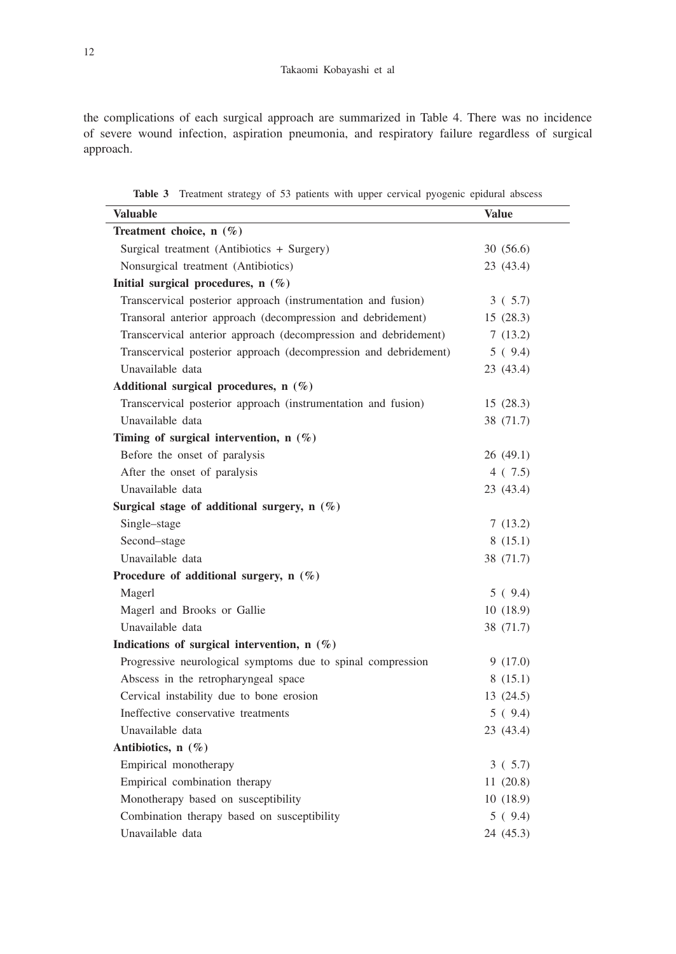the complications of each surgical approach are summarized in Table 4. There was no incidence of severe wound infection, aspiration pneumonia, and respiratory failure regardless of surgical approach.

| <b>Valuable</b>                                                  | <b>Value</b> |
|------------------------------------------------------------------|--------------|
| Treatment choice, n (%)                                          |              |
| Surgical treatment (Antibiotics + Surgery)                       | 30(56.6)     |
| Nonsurgical treatment (Antibiotics)                              | 23 (43.4)    |
| Initial surgical procedures, n (%)                               |              |
| Transcervical posterior approach (instrumentation and fusion)    | 3(5.7)       |
| Transoral anterior approach (decompression and debridement)      | 15(28.3)     |
| Transcervical anterior approach (decompression and debridement)  | 7(13.2)      |
| Transcervical posterior approach (decompression and debridement) | 5(9.4)       |
| Unavailable data                                                 | 23 (43.4)    |
| Additional surgical procedures, n (%)                            |              |
| Transcervical posterior approach (instrumentation and fusion)    | 15(28.3)     |
| Unavailable data                                                 | 38 (71.7)    |
| Timing of surgical intervention, $n$ (%)                         |              |
| Before the onset of paralysis                                    | 26(49.1)     |
| After the onset of paralysis                                     | 4(7.5)       |
| Unavailable data                                                 | 23 (43.4)    |
| Surgical stage of additional surgery, $n$ (%)                    |              |
| Single-stage                                                     | 7(13.2)      |
| Second-stage                                                     | 8(15.1)      |
| Unavailable data                                                 | 38 (71.7)    |
| Procedure of additional surgery, $n$ (%)                         |              |
| Magerl                                                           | 5(9.4)       |
| Magerl and Brooks or Gallie                                      | 10(18.9)     |
| Unavailable data                                                 | 38 (71.7)    |
| Indications of surgical intervention, n (%)                      |              |
| Progressive neurological symptoms due to spinal compression      | 9(17.0)      |
| Abscess in the retropharyngeal space                             | 8(15.1)      |
| Cervical instability due to bone erosion                         | 13(24.5)     |
| Ineffective conservative treatments                              | 5(9.4)       |
| Unavailable data                                                 | 23 (43.4)    |
| Antibiotics, n (%)                                               |              |
| Empirical monotherapy                                            | 3(5.7)       |
| Empirical combination therapy                                    | 11(20.8)     |
| Monotherapy based on susceptibility                              | 10(18.9)     |
| Combination therapy based on susceptibility                      | 5(9.4)       |
| Unavailable data                                                 | 24 (45.3)    |

**Table 3** Treatment strategy of 53 patients with upper cervical pyogenic epidural abscess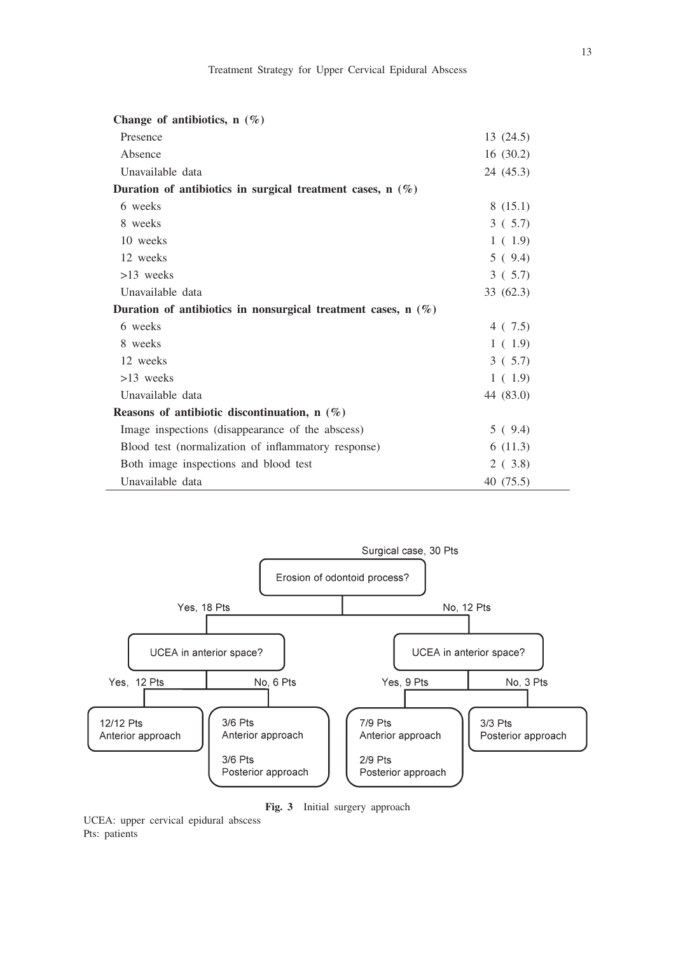| Change of antibiotics, $n(\%)$                                  |           |
|-----------------------------------------------------------------|-----------|
| Presence                                                        | 13 (24.5) |
| Absence                                                         | 16(30.2)  |
| Unavailable data                                                | 24 (45.3) |
| Duration of antibiotics in surgical treatment cases, $n(\%)$    |           |
| 6 weeks                                                         | 8(15.1)   |
| 8 weeks                                                         | 3(5.7)    |
| 10 weeks                                                        | 1(1.9)    |
| 12 weeks                                                        | 5(9.4)    |
| $>13$ weeks                                                     | 3(5.7)    |
| Unavailable data                                                | 33 (62.3) |
| Duration of antibiotics in nonsurgical treatment cases, $n$ (%) |           |
| 6 weeks                                                         | 4(7.5)    |
| 8 weeks                                                         | 1(1.9)    |
| 12 weeks                                                        | 3(5.7)    |
| $>13$ weeks                                                     | 1(1.9)    |
| Unavailable data                                                | 44 (83.0) |
| Reasons of antibiotic discontinuation, $n(\%)$                  |           |
| Image inspections (disappearance of the abscess)                | 5(9.4)    |
| Blood test (normalization of inflammatory response)             | 6(11.3)   |
| Both image inspections and blood test                           | 2(3.8)    |
| Unavailable data                                                | 40 (75.5) |



**Fig. 3** Initial surgery approach

UCEA: upper cervical epidural abscess Pts: patients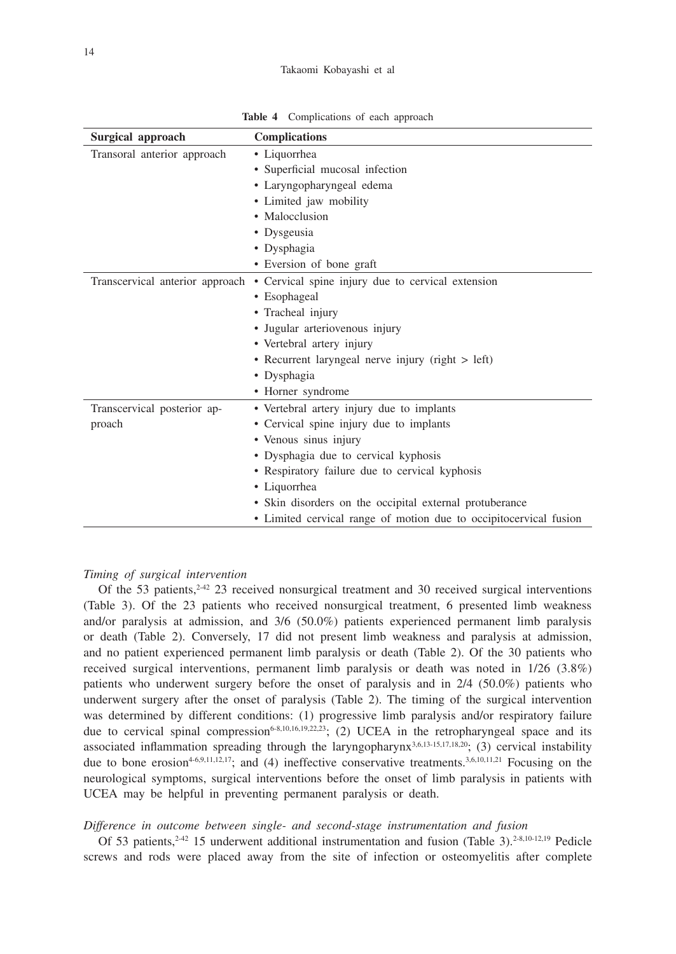#### Takaomi Kobayashi et al

**Table 4** Complications of each approach

| Surgical approach           | <b>Complications</b>                                                              |  |  |  |  |
|-----------------------------|-----------------------------------------------------------------------------------|--|--|--|--|
| Transoral anterior approach | • Liquorrhea                                                                      |  |  |  |  |
|                             | • Superficial mucosal infection                                                   |  |  |  |  |
|                             | • Laryngopharyngeal edema                                                         |  |  |  |  |
|                             | • Limited jaw mobility                                                            |  |  |  |  |
|                             | • Malocclusion                                                                    |  |  |  |  |
|                             | • Dysgeusia                                                                       |  |  |  |  |
|                             | • Dysphagia                                                                       |  |  |  |  |
|                             | • Eversion of bone graft                                                          |  |  |  |  |
|                             | Transcervical anterior approach • Cervical spine injury due to cervical extension |  |  |  |  |
|                             | • Esophageal                                                                      |  |  |  |  |
|                             | • Tracheal injury                                                                 |  |  |  |  |
|                             | · Jugular arteriovenous injury                                                    |  |  |  |  |
|                             | • Vertebral artery injury                                                         |  |  |  |  |
|                             | • Recurrent laryngeal nerve injury (right > left)                                 |  |  |  |  |
|                             | • Dysphagia                                                                       |  |  |  |  |
|                             | • Horner syndrome                                                                 |  |  |  |  |
| Transcervical posterior ap- | • Vertebral artery injury due to implants                                         |  |  |  |  |
| proach                      | • Cervical spine injury due to implants                                           |  |  |  |  |
|                             | · Venous sinus injury                                                             |  |  |  |  |
|                             | · Dysphagia due to cervical kyphosis                                              |  |  |  |  |
|                             | • Respiratory failure due to cervical kyphosis                                    |  |  |  |  |
|                             | • Liquorrhea                                                                      |  |  |  |  |
|                             | • Skin disorders on the occipital external protuberance                           |  |  |  |  |
|                             | • Limited cervical range of motion due to occipitocervical fusion                 |  |  |  |  |

## *Timing of surgical intervention*

Of the 53 patients, $242$  23 received nonsurgical treatment and 30 received surgical interventions (Table 3). Of the 23 patients who received nonsurgical treatment, 6 presented limb weakness and/or paralysis at admission, and 3/6 (50.0%) patients experienced permanent limb paralysis or death (Table 2). Conversely, 17 did not present limb weakness and paralysis at admission, and no patient experienced permanent limb paralysis or death (Table 2). Of the 30 patients who received surgical interventions, permanent limb paralysis or death was noted in 1/26 (3.8%) patients who underwent surgery before the onset of paralysis and in 2/4 (50.0%) patients who underwent surgery after the onset of paralysis (Table 2). The timing of the surgical intervention was determined by different conditions: (1) progressive limb paralysis and/or respiratory failure due to cervical spinal compression<sup>6-8,10,16,19,22,23</sup>; (2) UCEA in the retropharyngeal space and its associated inflammation spreading through the laryngopharynx<sup>3,6,13-15,17,18,20</sup>; (3) cervical instability due to bone erosion<sup>4-6,9,11,12,17</sup>; and (4) ineffective conservative treatments.<sup>3,6,10,11,21</sup> Focusing on the neurological symptoms, surgical interventions before the onset of limb paralysis in patients with UCEA may be helpful in preventing permanent paralysis or death.

## *Difference in outcome between single- and second-stage instrumentation and fusion*

Of 53 patients,  $2^{-42}$  15 underwent additional instrumentation and fusion (Table 3).  $2^{-8,10-12,19}$  Pedicle screws and rods were placed away from the site of infection or osteomyelitis after complete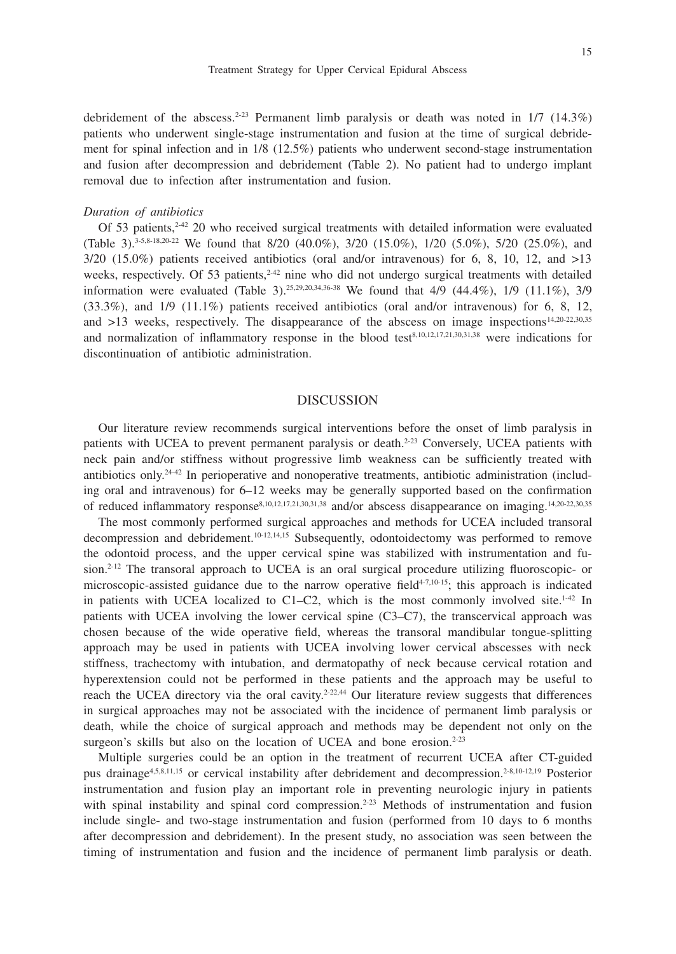debridement of the abscess.<sup>2-23</sup> Permanent limb paralysis or death was noted in  $1/7$  (14.3%) patients who underwent single-stage instrumentation and fusion at the time of surgical debridement for spinal infection and in 1/8 (12.5%) patients who underwent second-stage instrumentation and fusion after decompression and debridement (Table 2). No patient had to undergo implant removal due to infection after instrumentation and fusion.

#### *Duration of antibiotics*

Of 53 patients,<sup>2-42</sup> 20 who received surgical treatments with detailed information were evaluated (Table 3).<sup>3-5,8-18,20-22</sup> We found that 8/20 (40.0%), 3/20 (15.0%), 1/20 (5.0%), 5/20 (25.0%), and  $3/20$  (15.0%) patients received antibiotics (oral and/or intravenous) for 6, 8, 10, 12, and  $>13$ weeks, respectively. Of 53 patients, $242$  nine who did not undergo surgical treatments with detailed information were evaluated (Table 3).<sup>25,29,20,34,36-38</sup> We found that 4/9 (44.4%), 1/9 (11.1%), 3/9 (33.3%), and 1/9 (11.1%) patients received antibiotics (oral and/or intravenous) for 6, 8, 12, and  $>13$  weeks, respectively. The disappearance of the abscess on image inspections<sup>14,20-22,30,35</sup> and normalization of inflammatory response in the blood test<sup>8,10,12,17,21,30,31,38</sup> were indications for discontinuation of antibiotic administration.

# DISCUSSION

Our literature review recommends surgical interventions before the onset of limb paralysis in patients with UCEA to prevent permanent paralysis or death.<sup>2-23</sup> Conversely, UCEA patients with neck pain and/or stiffness without progressive limb weakness can be sufficiently treated with antibiotics only.24-42 In perioperative and nonoperative treatments, antibiotic administration (including oral and intravenous) for 6–12 weeks may be generally supported based on the confirmation of reduced inflammatory response8,10,12,17,21,30,31,38 and/or abscess disappearance on imaging.14,20-22,30,35

The most commonly performed surgical approaches and methods for UCEA included transoral decompression and debridement.<sup>10-12,14,15</sup> Subsequently, odontoidectomy was performed to remove the odontoid process, and the upper cervical spine was stabilized with instrumentation and fusion.<sup>2-12</sup> The transoral approach to UCEA is an oral surgical procedure utilizing fluoroscopic- or microscopic-assisted guidance due to the narrow operative field<sup>4-7,10-15</sup>; this approach is indicated in patients with UCEA localized to C1–C2, which is the most commonly involved site.<sup>1-42</sup> In patients with UCEA involving the lower cervical spine (C3–C7), the transcervical approach was chosen because of the wide operative field, whereas the transoral mandibular tongue-splitting approach may be used in patients with UCEA involving lower cervical abscesses with neck stiffness, trachectomy with intubation, and dermatopathy of neck because cervical rotation and hyperextension could not be performed in these patients and the approach may be useful to reach the UCEA directory via the oral cavity.<sup>2-22,44</sup> Our literature review suggests that differences in surgical approaches may not be associated with the incidence of permanent limb paralysis or death, while the choice of surgical approach and methods may be dependent not only on the surgeon's skills but also on the location of UCEA and bone erosion.<sup>2-23</sup>

Multiple surgeries could be an option in the treatment of recurrent UCEA after CT-guided pus drainage4,5,8,11,15 or cervical instability after debridement and decompression.2-8,10-12,19 Posterior instrumentation and fusion play an important role in preventing neurologic injury in patients with spinal instability and spinal cord compression.<sup>2-23</sup> Methods of instrumentation and fusion include single- and two-stage instrumentation and fusion (performed from 10 days to 6 months after decompression and debridement). In the present study, no association was seen between the timing of instrumentation and fusion and the incidence of permanent limb paralysis or death.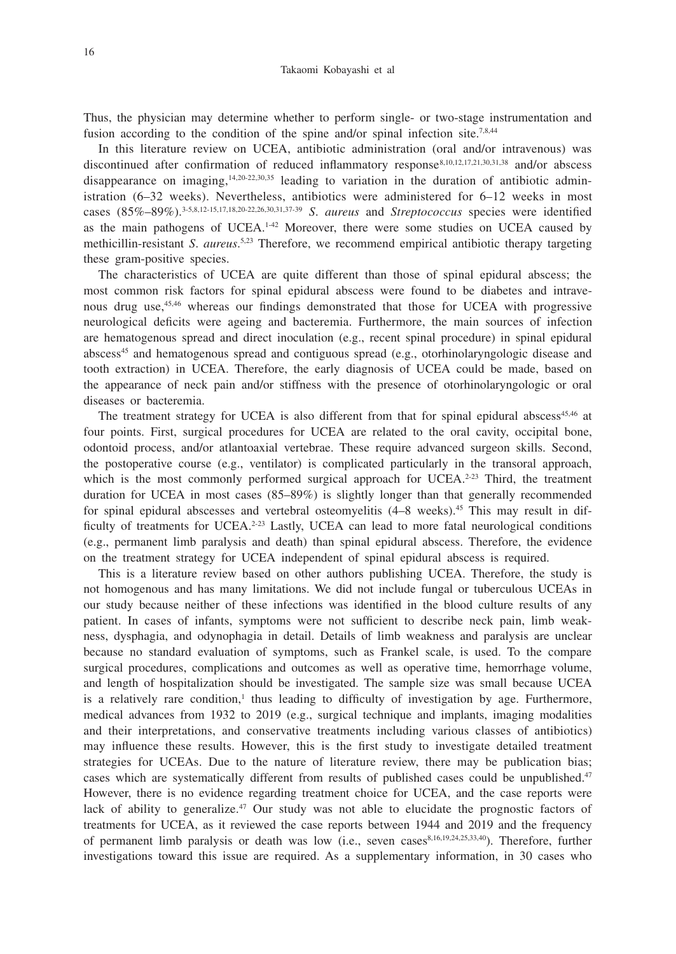Thus, the physician may determine whether to perform single- or two-stage instrumentation and fusion according to the condition of the spine and/or spinal infection site.<sup>7,8,44</sup>

In this literature review on UCEA, antibiotic administration (oral and/or intravenous) was discontinued after confirmation of reduced inflammatory response<sup>8,10,12,17,21,30,31,38</sup> and/or abscess disappearance on imaging,<sup>14,20-22,30,35</sup> leading to variation in the duration of antibiotic administration (6–32 weeks). Nevertheless, antibiotics were administered for 6–12 weeks in most cases (85%–89%).3-5,8,12-15,17,18,20-22,26,30,31,37-39 *S*. *aureus* and *Streptococcus* species were identified as the main pathogens of  $UCEA$ .<sup>142</sup> Moreover, there were some studies on UCEA caused by methicillin-resistant *S*. *aureus*. 5,23 Therefore, we recommend empirical antibiotic therapy targeting these gram-positive species.

The characteristics of UCEA are quite different than those of spinal epidural abscess; the most common risk factors for spinal epidural abscess were found to be diabetes and intravenous drug use,<sup>45,46</sup> whereas our findings demonstrated that those for UCEA with progressive neurological deficits were ageing and bacteremia. Furthermore, the main sources of infection are hematogenous spread and direct inoculation (e.g., recent spinal procedure) in spinal epidural  $abscess<sup>45</sup>$  and hematogenous spread and contiguous spread (e.g., otorhinolaryngologic disease and tooth extraction) in UCEA. Therefore, the early diagnosis of UCEA could be made, based on the appearance of neck pain and/or stiffness with the presence of otorhinolaryngologic or oral diseases or bacteremia.

The treatment strategy for UCEA is also different from that for spinal epidural abscess<sup>45,46</sup> at four points. First, surgical procedures for UCEA are related to the oral cavity, occipital bone, odontoid process, and/or atlantoaxial vertebrae. These require advanced surgeon skills. Second, the postoperative course (e.g., ventilator) is complicated particularly in the transoral approach, which is the most commonly performed surgical approach for  $UCEA$ <sup>2-23</sup> Third, the treatment duration for UCEA in most cases (85–89%) is slightly longer than that generally recommended for spinal epidural abscesses and vertebral osteomyelitis  $(4-8$  weeks).<sup>45</sup> This may result in difficulty of treatments for UCEA.<sup>2-23</sup> Lastly, UCEA can lead to more fatal neurological conditions (e.g., permanent limb paralysis and death) than spinal epidural abscess. Therefore, the evidence on the treatment strategy for UCEA independent of spinal epidural abscess is required.

This is a literature review based on other authors publishing UCEA. Therefore, the study is not homogenous and has many limitations. We did not include fungal or tuberculous UCEAs in our study because neither of these infections was identified in the blood culture results of any patient. In cases of infants, symptoms were not sufficient to describe neck pain, limb weakness, dysphagia, and odynophagia in detail. Details of limb weakness and paralysis are unclear because no standard evaluation of symptoms, such as Frankel scale, is used. To the compare surgical procedures, complications and outcomes as well as operative time, hemorrhage volume, and length of hospitalization should be investigated. The sample size was small because UCEA is a relatively rare condition,<sup>1</sup> thus leading to difficulty of investigation by age. Furthermore, medical advances from 1932 to 2019 (e.g., surgical technique and implants, imaging modalities and their interpretations, and conservative treatments including various classes of antibiotics) may influence these results. However, this is the first study to investigate detailed treatment strategies for UCEAs. Due to the nature of literature review, there may be publication bias; cases which are systematically different from results of published cases could be unpublished.47 However, there is no evidence regarding treatment choice for UCEA, and the case reports were lack of ability to generalize. $47$  Our study was not able to elucidate the prognostic factors of treatments for UCEA, as it reviewed the case reports between 1944 and 2019 and the frequency of permanent limb paralysis or death was low (i.e., seven cases<sup>8,16,19,24,25,33,40</sup>). Therefore, further investigations toward this issue are required. As a supplementary information, in 30 cases who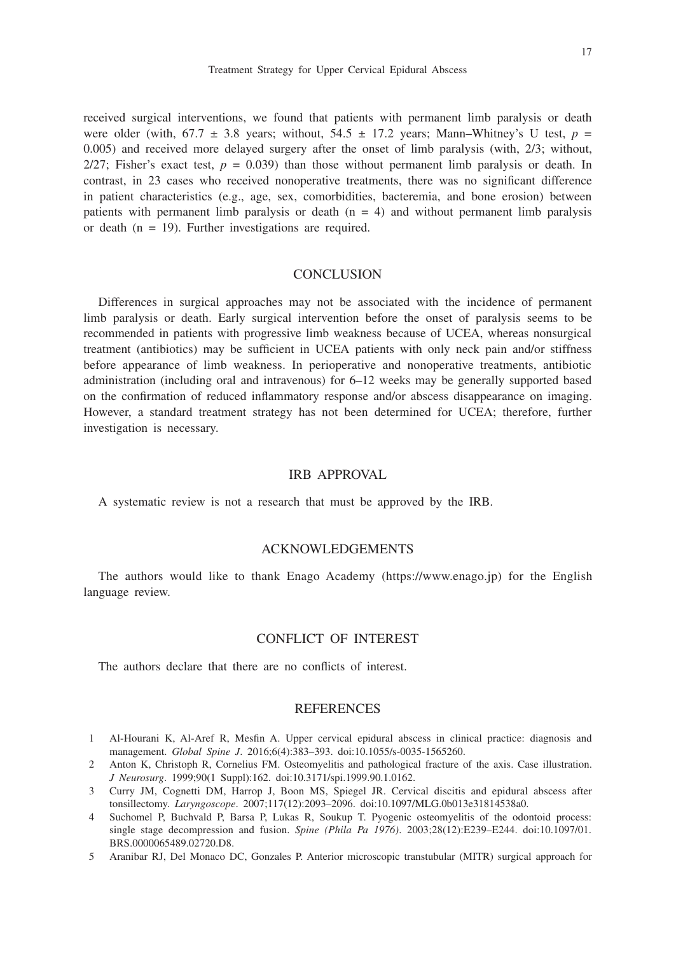17

received surgical interventions, we found that patients with permanent limb paralysis or death were older (with,  $67.7 \pm 3.8$  years; without,  $54.5 \pm 17.2$  years; Mann–Whitney's U test,  $p =$ 0.005) and received more delayed surgery after the onset of limb paralysis (with, 2/3; without,  $2/27$ ; Fisher's exact test,  $p = 0.039$ ) than those without permanent limb paralysis or death. In contrast, in 23 cases who received nonoperative treatments, there was no significant difference in patient characteristics (e.g., age, sex, comorbidities, bacteremia, and bone erosion) between patients with permanent limb paralysis or death  $(n = 4)$  and without permanent limb paralysis or death ( $n = 19$ ). Further investigations are required.

# **CONCLUSION**

Differences in surgical approaches may not be associated with the incidence of permanent limb paralysis or death. Early surgical intervention before the onset of paralysis seems to be recommended in patients with progressive limb weakness because of UCEA, whereas nonsurgical treatment (antibiotics) may be sufficient in UCEA patients with only neck pain and/or stiffness before appearance of limb weakness. In perioperative and nonoperative treatments, antibiotic administration (including oral and intravenous) for 6–12 weeks may be generally supported based on the confirmation of reduced inflammatory response and/or abscess disappearance on imaging. However, a standard treatment strategy has not been determined for UCEA; therefore, further investigation is necessary.

# IRB APPROVAL

A systematic review is not a research that must be approved by the IRB.

# ACKNOWLEDGEMENTS

The authors would like to thank Enago Academy (https://www.enago.jp) for the English language review.

# CONFLICT OF INTEREST

The authors declare that there are no conflicts of interest.

## REFERENCES

- 1 Al-Hourani K, Al-Aref R, Mesfin A. Upper cervical epidural abscess in clinical practice: diagnosis and management. *Global Spine J*. 2016;6(4):383–393. doi:10.1055/s-0035-1565260.
- 2 Anton K, Christoph R, Cornelius FM. Osteomyelitis and pathological fracture of the axis. Case illustration. *J Neurosurg*. 1999;90(1 Suppl):162. doi:10.3171/spi.1999.90.1.0162.
- 3 Curry JM, Cognetti DM, Harrop J, Boon MS, Spiegel JR. Cervical discitis and epidural abscess after tonsillectomy. *Laryngoscope*. 2007;117(12):2093–2096. doi:10.1097/MLG.0b013e31814538a0.
- 4 Suchomel P, Buchvald P, Barsa P, Lukas R, Soukup T. Pyogenic osteomyelitis of the odontoid process: single stage decompression and fusion. *Spine (Phila Pa 1976)*. 2003;28(12):E239–E244. doi:10.1097/01. BRS.0000065489.02720.D8.
- 5 Aranibar RJ, Del Monaco DC, Gonzales P. Anterior microscopic transtubular (MITR) surgical approach for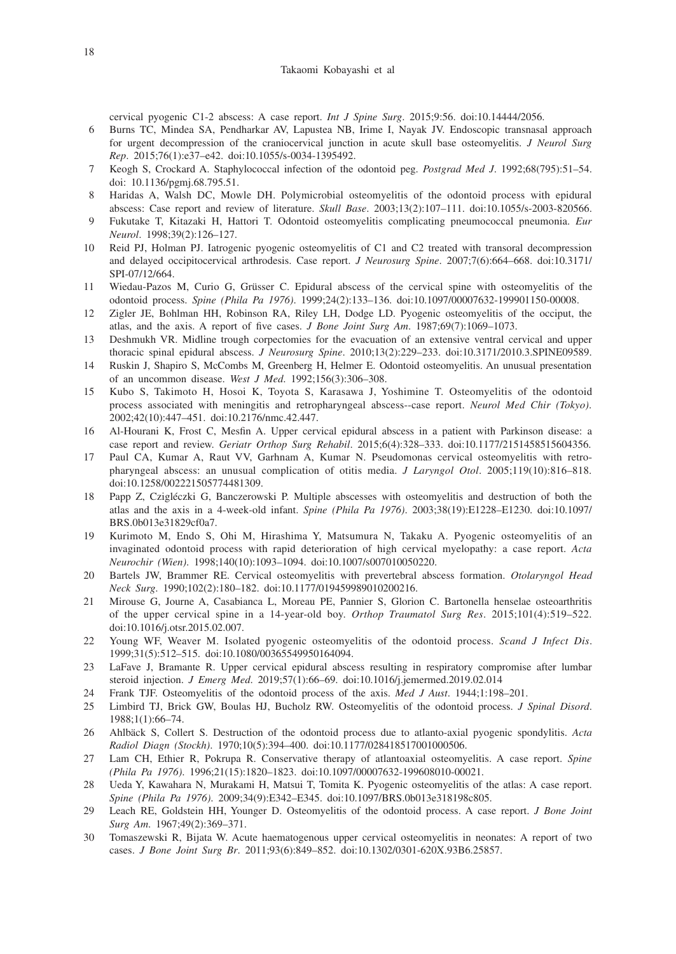cervical pyogenic C1-2 abscess: A case report. *Int J Spine Surg*. 2015;9:56. doi:10.14444/2056.

- 6 Burns TC, Mindea SA, Pendharkar AV, Lapustea NB, Irime I, Nayak JV. Endoscopic transnasal approach for urgent decompression of the craniocervical junction in acute skull base osteomyelitis. *J Neurol Surg Rep*. 2015;76(1):e37–e42. doi:10.1055/s-0034-1395492.
- 7 Keogh S, Crockard A. Staphylococcal infection of the odontoid peg. *Postgrad Med J*. 1992;68(795):51–54. doi: 10.1136/pgmj.68.795.51.
- 8 Haridas A, Walsh DC, Mowle DH. Polymicrobial osteomyelitis of the odontoid process with epidural abscess: Case report and review of literature. *Skull Base*. 2003;13(2):107–111. doi:10.1055/s-2003-820566.
- 9 Fukutake T, Kitazaki H, Hattori T. Odontoid osteomyelitis complicating pneumococcal pneumonia. *Eur Neurol*. 1998;39(2):126–127.
- 10 Reid PJ, Holman PJ. Iatrogenic pyogenic osteomyelitis of C1 and C2 treated with transoral decompression and delayed occipitocervical arthrodesis. Case report. *J Neurosurg Spine*. 2007;7(6):664–668. doi:10.3171/ SPI-07/12/664.
- 11 Wiedau-Pazos M, Curio G, Grüsser C. Epidural abscess of the cervical spine with osteomyelitis of the odontoid process. *Spine (Phila Pa 1976)*. 1999;24(2):133–136. doi:10.1097/00007632-199901150-00008.
- 12 Zigler JE, Bohlman HH, Robinson RA, Riley LH, Dodge LD. Pyogenic osteomyelitis of the occiput, the atlas, and the axis. A report of five cases. *J Bone Joint Surg Am*. 1987;69(7):1069–1073.
- 13 Deshmukh VR. Midline trough corpectomies for the evacuation of an extensive ventral cervical and upper thoracic spinal epidural abscess. *J Neurosurg Spine*. 2010;13(2):229–233. doi:10.3171/2010.3.SPINE09589.
- 14 Ruskin J, Shapiro S, McCombs M, Greenberg H, Helmer E. Odontoid osteomyelitis. An unusual presentation of an uncommon disease. *West J Med*. 1992;156(3):306–308.
- 15 Kubo S, Takimoto H, Hosoi K, Toyota S, Karasawa J, Yoshimine T. Osteomyelitis of the odontoid process associated with meningitis and retropharyngeal abscess--case report. *Neurol Med Chir (Tokyo)*. 2002;42(10):447–451. doi:10.2176/nmc.42.447.
- 16 Al-Hourani K, Frost C, Mesfin A. Upper cervical epidural abscess in a patient with Parkinson disease: a case report and review. *Geriatr Orthop Surg Rehabil*. 2015;6(4):328–333. doi:10.1177/2151458515604356.
- 17 Paul CA, Kumar A, Raut VV, Garhnam A, Kumar N. Pseudomonas cervical osteomyelitis with retropharyngeal abscess: an unusual complication of otitis media. *J Laryngol Otol*. 2005;119(10):816–818. doi:10.1258/002221505774481309.
- 18 Papp Z, Czigléczki G, Banczerowski P. Multiple abscesses with osteomyelitis and destruction of both the atlas and the axis in a 4-week-old infant. *Spine (Phila Pa 1976)*. 2003;38(19):E1228–E1230. doi:10.1097/ BRS.0b013e31829cf0a7.
- 19 Kurimoto M, Endo S, Ohi M, Hirashima Y, Matsumura N, Takaku A. Pyogenic osteomyelitis of an invaginated odontoid process with rapid deterioration of high cervical myelopathy: a case report. *Acta Neurochir (Wien)*. 1998;140(10):1093–1094. doi:10.1007/s007010050220.
- 20 Bartels JW, Brammer RE. Cervical osteomyelitis with prevertebral abscess formation. *Otolaryngol Head Neck Surg*. 1990;102(2):180–182. doi:10.1177/019459989010200216.
- 21 Mirouse G, Journe A, Casabianca L, Moreau PE, Pannier S, Glorion C. Bartonella henselae osteoarthritis of the upper cervical spine in a 14-year-old boy. *Orthop Traumatol Surg Res*. 2015;101(4):519–522. doi:10.1016/j.otsr.2015.02.007.
- 22 Young WF, Weaver M. Isolated pyogenic osteomyelitis of the odontoid process. *Scand J Infect Dis*. 1999;31(5):512–515. doi:10.1080/00365549950164094.
- 23 LaFave J, Bramante R. Upper cervical epidural abscess resulting in respiratory compromise after lumbar steroid injection. *J Emerg Med*. 2019;57(1):66–69. doi:10.1016/j.jemermed.2019.02.014
- 24 Frank TJF. Osteomyelitis of the odontoid process of the axis. *Med J Aust*. 1944;1:198–201.
- 25 Limbird TJ, Brick GW, Boulas HJ, Bucholz RW. Osteomyelitis of the odontoid process. *J Spinal Disord*. 1988;1(1):66–74.
- 26 Ahlbäck S, Collert S. Destruction of the odontoid process due to atlanto-axial pyogenic spondylitis. *Acta Radiol Diagn (Stockh)*. 1970;10(5):394–400. doi:10.1177/028418517001000506.
- 27 Lam CH, Ethier R, Pokrupa R. Conservative therapy of atlantoaxial osteomyelitis. A case report. *Spine (Phila Pa 1976)*. 1996;21(15):1820–1823. doi:10.1097/00007632-199608010-00021.
- 28 Ueda Y, Kawahara N, Murakami H, Matsui T, Tomita K. Pyogenic osteomyelitis of the atlas: A case report. *Spine (Phila Pa 1976)*. 2009;34(9):E342–E345. doi:10.1097/BRS.0b013e318198c805.
- 29 Leach RE, Goldstein HH, Younger D. Osteomyelitis of the odontoid process. A case report. *J Bone Joint Surg Am*. 1967;49(2):369–371.
- 30 Tomaszewski R, Bijata W. Acute haematogenous upper cervical osteomyelitis in neonates: A report of two cases. *J Bone Joint Surg Br*. 2011;93(6):849–852. doi:10.1302/0301-620X.93B6.25857.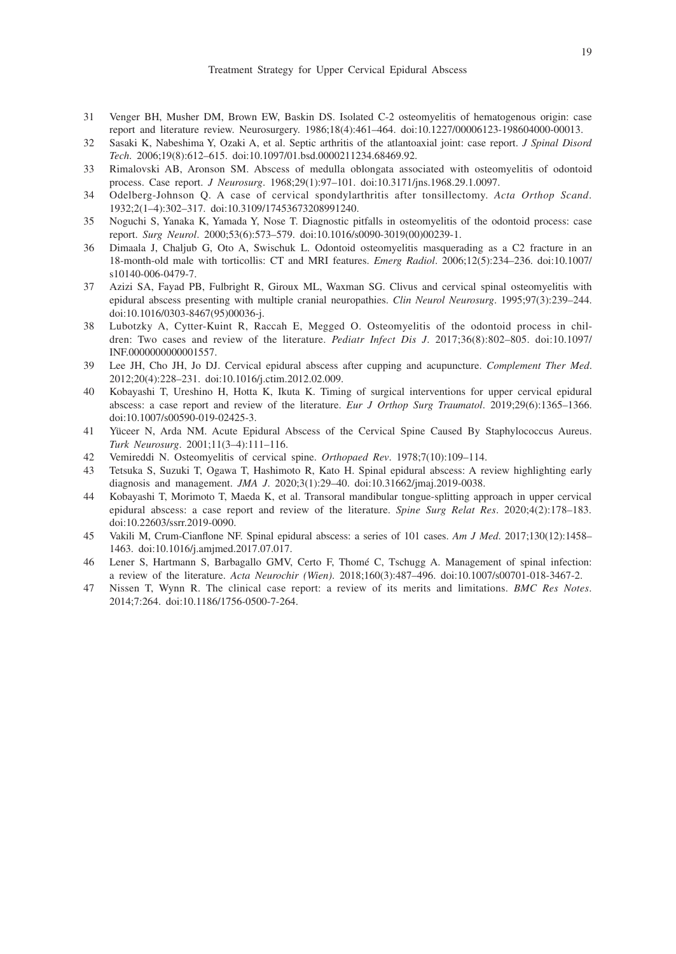- 31 Venger BH, Musher DM, Brown EW, Baskin DS. Isolated C-2 osteomyelitis of hematogenous origin: case report and literature review. Neurosurgery. 1986;18(4):461–464. doi:10.1227/00006123-198604000-00013.
- 32 Sasaki K, Nabeshima Y, Ozaki A, et al. Septic arthritis of the atlantoaxial joint: case report. *J Spinal Disord Tech*. 2006;19(8):612–615. doi:10.1097/01.bsd.0000211234.68469.92.
- 33 Rimalovski AB, Aronson SM. Abscess of medulla oblongata associated with osteomyelitis of odontoid process. Case report. *J Neurosurg*. 1968;29(1):97–101. doi:10.3171/jns.1968.29.1.0097.
- 34 Odelberg-Johnson Q. A case of cervical spondylarthritis after tonsillectomy. *Acta Orthop Scand*. 1932;2(1–4):302–317. doi:10.3109/17453673208991240.
- 35 Noguchi S, Yanaka K, Yamada Y, Nose T. Diagnostic pitfalls in osteomyelitis of the odontoid process: case report. *Surg Neurol*. 2000;53(6):573–579. doi:10.1016/s0090-3019(00)00239-1.
- 36 Dimaala J, Chaljub G, Oto A, Swischuk L. Odontoid osteomyelitis masquerading as a C2 fracture in an 18-month-old male with torticollis: CT and MRI features. *Emerg Radiol*. 2006;12(5):234–236. doi:10.1007/ s10140-006-0479-7.
- 37 Azizi SA, Fayad PB, Fulbright R, Giroux ML, Waxman SG. Clivus and cervical spinal osteomyelitis with epidural abscess presenting with multiple cranial neuropathies. *Clin Neurol Neurosurg*. 1995;97(3):239–244. doi:10.1016/0303-8467(95)00036-j.
- 38 Lubotzky A, Cytter-Kuint R, Raccah E, Megged O. Osteomyelitis of the odontoid process in children: Two cases and review of the literature. *Pediatr Infect Dis J*. 2017;36(8):802–805. doi:10.1097/ INF.0000000000001557.
- 39 Lee JH, Cho JH, Jo DJ. Cervical epidural abscess after cupping and acupuncture. *Complement Ther Med*. 2012;20(4):228–231. doi:10.1016/j.ctim.2012.02.009.
- 40 Kobayashi T, Ureshino H, Hotta K, Ikuta K. Timing of surgical interventions for upper cervical epidural abscess: a case report and review of the literature. *Eur J Orthop Surg Traumatol*. 2019;29(6):1365–1366. doi:10.1007/s00590-019-02425-3.
- 41 Yüceer N, Arda NM. Acute Epidural Abscess of the Cervical Spine Caused By Staphylococcus Aureus. *Turk Neurosurg*. 2001;11(3–4):111–116.
- 42 Vemireddi N. Osteomyelitis of cervical spine. *Orthopaed Rev*. 1978;7(10):109–114.
- 43 Tetsuka S, Suzuki T, Ogawa T, Hashimoto R, Kato H. Spinal epidural abscess: A review highlighting early diagnosis and management. *JMA J*. 2020;3(1):29–40. doi:10.31662/jmaj.2019-0038.
- 44 Kobayashi T, Morimoto T, Maeda K, et al. Transoral mandibular tongue-splitting approach in upper cervical epidural abscess: a case report and review of the literature. *Spine Surg Relat Res*. 2020;4(2):178–183. doi:10.22603/ssrr.2019-0090.
- 45 Vakili M, Crum-Cianflone NF. Spinal epidural abscess: a series of 101 cases. *Am J Med*. 2017;130(12):1458– 1463. doi:10.1016/j.amjmed.2017.07.017.
- 46 Lener S, Hartmann S, Barbagallo GMV, Certo F, Thomé C, Tschugg A. Management of spinal infection: a review of the literature. *Acta Neurochir (Wien)*. 2018;160(3):487–496. doi:10.1007/s00701-018-3467-2.
- 47 Nissen T, Wynn R. The clinical case report: a review of its merits and limitations. *BMC Res Notes*. 2014;7:264. doi:10.1186/1756-0500-7-264.